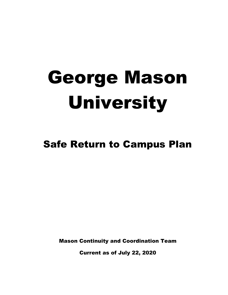# George Mason University

# Safe Return to Campus Plan

Mason Continuity and Coordination Team

Current as of July 22, 2020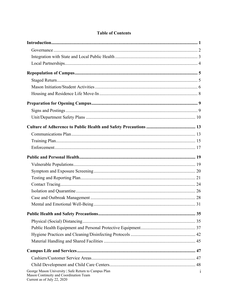| George Mason University   Safe Return to Campus Plan<br>Mason Continuity and Coordination Team | $\mathbf{1}$ |
|------------------------------------------------------------------------------------------------|--------------|

## **Table of Contents**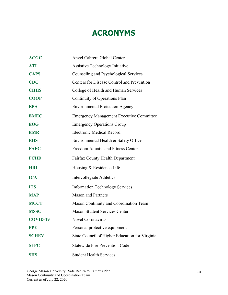# **ACRONYMS**

| <b>ACGC</b>     | Angel Cabrera Global Center                     |  |
|-----------------|-------------------------------------------------|--|
| <b>ATI</b>      | <b>Assistive Technology Initiative</b>          |  |
| <b>CAPS</b>     | Counseling and Psychological Services           |  |
| <b>CDC</b>      | Centers for Disease Control and Prevention      |  |
| <b>CHHS</b>     | College of Health and Human Services            |  |
| <b>COOP</b>     | Continuity of Operations Plan                   |  |
| <b>EPA</b>      | <b>Environmental Protection Agency</b>          |  |
| <b>EMEC</b>     | <b>Emergency Management Executive Committee</b> |  |
| <b>EOG</b>      | <b>Emergency Operations Group</b>               |  |
| <b>EMR</b>      | <b>Electronic Medical Record</b>                |  |
| <b>EHS</b>      | Environmental Health & Safety Office            |  |
| <b>FAFC</b>     | Freedom Aquatic and Fitness Center              |  |
| <b>FCHD</b>     | <b>Fairfax County Health Department</b>         |  |
| <b>HRL</b>      | Housing & Residence Life                        |  |
| <b>ICA</b>      | Intercollegiate Athletics                       |  |
| <b>ITS</b>      | <b>Information Technology Services</b>          |  |
| <b>MAP</b>      | <b>Mason and Partners</b>                       |  |
| <b>MCCT</b>     | Mason Continuity and Coordination Team          |  |
| <b>MSSC</b>     | <b>Mason Student Services Center</b>            |  |
| <b>COVID-19</b> | <b>Novel Coronavirus</b>                        |  |
| <b>PPE</b>      | Personal protective equipment                   |  |
| <b>SCHEV</b>    | State Council of Higher Education for Virginia  |  |
| <b>SFPC</b>     | <b>Statewide Fire Prevention Code</b>           |  |
| <b>SHS</b>      | <b>Student Health Services</b>                  |  |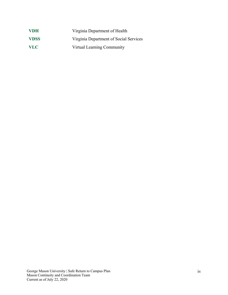| <b>VDH</b>  | Virginia Department of Health          |
|-------------|----------------------------------------|
| <b>VDSS</b> | Virginia Department of Social Services |
| VLC.        | Virtual Learning Community             |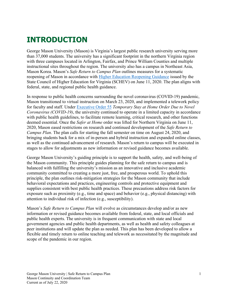# <span id="page-5-0"></span>**INTRODUCTION**

George Mason University (Mason) is Virginia's largest public research university serving more than 37,000 students. The university has a significant footprint in the northern Virginia region with three campuses located in Arlington, Fairfax, and Prince William Counties and multiple instructional sites throughout the region. The university also has a campus in Northeast Asia, Mason Korea. Mason's *Safe Return to Campus Plan* outlines measures for a systematic reopening of Mason in accordance with **Higher Education Reopening Guidance** issued by the State Council of Higher Education for Virginia (SCHEV) on June 11, 2020. The plan aligns with federal, state, and regional public health guidance.

In response to public health concerns surrounding the novel coronavirus (COVID-19) pandemic, Mason transitioned to virtual instruction on March 23, 2020, and implemented a telework policy for faculty and staff. Under [Executive Order 55](https://www.governor.virginia.gov/media/governorvirginiagov/executive-actions/EO-55-Temporary-Stay-at-Home-Order-Due-to-Novel-Coronavirus-(COVID-19).pdf) *Temporary Stay at Home Order Due to Novel Coronavirus (COVID-19)*, the university continued to operate in a limited capacity in accordance with public health guidelines, to facilitate remote learning, critical research, and other functions deemed essential. Once the *Safer at Home* order was lifted for Northern Virginia on June 11, 2020, Mason eased restrictions on research and continued development of the *Safe Return to Campus Plan*. The plan calls for starting the fall semester on time on August 24, 2020, and bringing students back for a mix of in-person and hybrid instruction and expanded online classes, as well as the continued advancement of research. Mason's return to campus will be executed in stages to allow for adjustments as new information or revised guidance becomes available.

George Mason University's guiding principle is to support the health, safety, and well-being of the Mason community. This principle guides planning for the safe return to campus and is balanced with fulfilling the university's mission as an innovative and inclusive academic community committed to creating a more just, free, and prosperous world. To uphold this principle, the plan outlines risk-mitigation strategies for the Mason community that include behavioral expectations and practices, engineering controls and protective equipment and supplies consistent with best public health practices. These precautions address risk factors for exposure such as proximity (e.g., time and space) and behavior (e.g., physical distancing) with attention to individual risk of infection (e.g., susceptibility).

Mason's *Safe Return to Campus Plan* will evolve as circumstances develop and/or as new information or revised guidance becomes available from federal, state, and local officials and public health experts. The university is in frequent communication with state and local government agencies and public health departments, as well as health and safety colleagues at peer institutions and will update the plan as needed. This plan has been developed to allow a flexible and timely return to online teaching and telework as necessitated by the magnitude and scope of the pandemic in our region.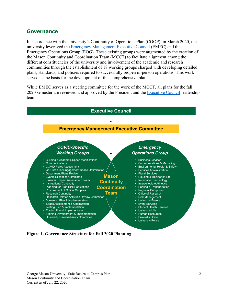# <span id="page-6-0"></span>**Governance**

In accordance with the university's Continuity of Operations Plan (COOP), in March 2020, the university leveraged the [Emergency Management Executive Council](https://www2.gmu.edu/safe-return-campus-plan/leadership/emergency-management-executive-committee) (EMEC) and the Emergency Operations Group (EOG). These existing groups were augmented by the creation of the Mason Continuity and Coordination Team (MCCT) to facilitate alignment among the different constituencies of the university and involvement of the academic and research communities through the establishment of 18 working groups charged with developing detailed plans, standards, and policies required to successfully reopen in-person operations. This work served as the basis for the development of this comprehensive plan.

While EMEC serves as a steering committee for the work of the MCCT, all plans for the fall 2020 semester are reviewed and approved by the President and the [Executive Council](https://www2.gmu.edu/about-mason/university-leadership) leadership team.



<span id="page-6-1"></span>**Figure 1. Governance Structure for Fall 2020 Planning.**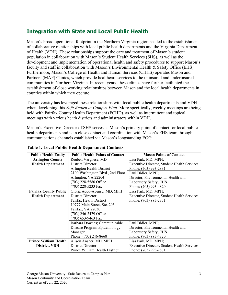# <span id="page-7-0"></span>**Integration with State and Local Public Health**

Mason's broad operational footprint in the Northern Virginia region has led to the establishment of collaborative relationships with local public health departments and the Virginia Department of Health (VDH). These relationships support the care and treatment of Mason's student population in collaboration with Mason's Student Health Services (SHS), as well as the development and implementation of operational health and safety procedures to support Mason's faculty and staff in collaboration with Mason's Environmental Health & Safety Office (EHS). Furthermore, Mason's College of Health and Human Services (CHHS) operates Mason and Partners (MAP) Clinics, which provide healthcare services to the uninsured and underinsured communities in Northern Virginia. In recent years, these clinics have further facilitated the establishment of close working relationships between Mason and the local health departments in counties within which they operate.

The university has leveraged these relationships with local public health departments and VDH when developing this *Safe Return to Campus Plan*. More specifically, weekly meetings are being held with Fairfax County Health Department (FCHD), as well as intermittent and topical meetings with various heath districts and administrators within VDH.

Mason's Executive Director of SHS serves as Mason's primary point of contact for local public health departments and is in close contact and coordination with Mason's EHS team through communications channels established via Mason's longstanding EOG.

| <b>Public Health Entity</b>  | <b>Public Health Points of Contact</b> | <b>Mason Points of Contact</b>                     |
|------------------------------|----------------------------------------|----------------------------------------------------|
| <b>Arlington County</b>      | Reuben Varghese, MD                    | Lisa Park, MD, MPH;                                |
| <b>Health Department</b>     | District Director                      | <b>Executive Director, Student Health Services</b> |
|                              | Arlington Health District              | Phone: (703) 993-2831                              |
|                              | 2100 Washington Blvd., 2nd Floor       | Paul Didier, MPH;                                  |
|                              | Arlington, VA 22204                    | Director, Environmental Health and                 |
|                              | (703) 228-5580 Office                  | Laboratory Safety, EHS                             |
|                              | (703) 228-5233 Fax                     | Phone: (703) 993-4820                              |
| <b>Fairfax County Public</b> | Gloria Addo-Ayensu, MD, MPH            | Lisa Park, MD, MPH;                                |
| <b>Health Department</b>     | District Director                      | <b>Executive Director, Student Health Services</b> |
|                              | <b>Fairfax Health District</b>         | Phone: (703) 993-2831                              |
|                              | 10777 Main Street, Ste. 203            |                                                    |
|                              | Fairfax, VA 22030                      |                                                    |
|                              | (703) 246-2479 Office                  |                                                    |
|                              | $(703)$ 653-9463 Fax                   |                                                    |
|                              | Barbara Downes; Communicable           | Paul Didier, MPH;                                  |
|                              | Disease Program Epidemiology           | Director, Environmental Health and                 |
|                              | Manager                                | Laboratory Safety, EHS                             |
|                              | Phone: (703) 246-8668                  | Phone: (703) 993-4820                              |
| <b>Prince William Health</b> | Alison Ansher, MD, MPH                 | Lisa Park, MD, MPH;                                |
| District, VDH                | District Director                      | Executive Director, Student Health Services        |
|                              | Prince William Health District         | Phone: (703) 993-2831                              |

# **Table 1. Local Public Health Department Contacts**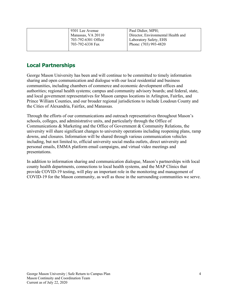| 9301 Lee Avenue<br>Manassas, VA 20110<br>703-792-6301 Office | Paul Didier, MPH;<br>Director, Environmental Health and<br>Laboratory Safety, EHS |
|--------------------------------------------------------------|-----------------------------------------------------------------------------------|
| 703-792-6338 Fax                                             | Phone: (703) 993-4820                                                             |

# <span id="page-8-0"></span>**Local Partnerships**

George Mason University has been and will continue to be committed to timely information sharing and open communication and dialogue with our local residential and business communities, including chambers of commerce and economic development offices and authorities; regional health systems; campus and community advisory boards; and federal, state, and local government representatives for Mason campus locations in Arlington, Fairfax, and Prince William Counties, and our broader regional jurisdictions to include Loudoun County and the Cities of Alexandria, Fairfax, and Manassas.

Through the efforts of our communications and outreach representatives throughout Mason's schools, colleges, and administrative units, and particularly through the Office of Communications & Marketing and the Office of Government & Community Relations, the university will share significant changes to university operations including reopening plans, ramp downs, and closures. Information will be shared through various communication vehicles including, but not limited to, official university social media outlets, direct university and personal emails, EMMA platform email campaigns, and virtual video meetings and presentations.

In addition to information sharing and communication dialogue, Mason's partnerships with local county health departments, connections to local health systems, and the MAP Clinics that provide COVID-19 testing, will play an important role in the monitoring and management of COVID-19 for the Mason community, as well as those in the surrounding communities we serve.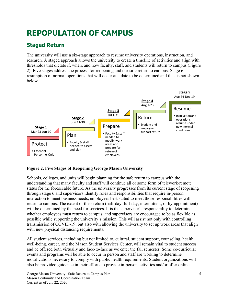# <span id="page-9-0"></span>**REPOPULATION OF CAMPUS**

# <span id="page-9-1"></span>**Staged Return**

The university will use a six-stage approach to resume university operations, instruction, and research. A staged approach allows the university to create a timeline of activities and align with thresholds that dictate if, when, and how faculty, staff, and students will return to campus (Figure 2). Five stages address the process for reopening and our safe return to campus. Stage 6 is resumption of normal operations that will occur at a date to be determined and thus is not shown below.



### **Figure 2. Five Stages of Reopening George Mason University**

Schools, colleges, and units will begin planning for the safe return to campus with the understanding that many faculty and staff will continue all or some form of telework/remote status for the foreseeable future. As the university progresses from its current stage of reopening through stage 6 and supervisors identify roles and responsibilities that require in-person interaction to meet business needs, employees best suited to meet those responsibilities will return to campus. The extent of their return (half-day, full-day, intermittent, or by-appointment) will be determined by the need for services. It is the supervisor's responsibility to determine whether employees must return to campus, and supervisors are encouraged to be as flexible as possible while supporting the university's mission. This will assist not only with controlling transmission of COVID-19, but also with allowing the university to set up work areas that align with new physical distancing requirements.

All student services, including but not limited to, cultural, student support, counseling, health, well-being, career, and the Mason Student Services Center, will remain vital to student success and be offered both virtually and face-to-face as we enter the fall semester. Some co-curricular events and programs will be able to occur in person and staff are working to determine modifications necessary to comply with public health requirements. Student organizations will also be provided guidance in their efforts to provide in-person activities and/or offer online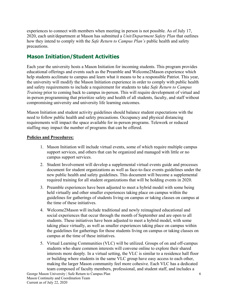experiences to connect with members when meeting in person is not possible. As of July 17, 2020, each unit/department at Mason has submitted a *Unit/Department Safety Plan* that outlines how they intend to comply with the *Safe Return to Campus Plan's* public health and safety precautions.

# <span id="page-10-0"></span>**Mason Initiation/Student Activities**

Each year the university hosts a Mason Initiation for incoming students. This program provides educational offerings and events such as the Preamble and Welcome2Mason experience which help students acclimate to campus and learn what it means to be a responsible Patriot. This year, the university will modify the Mason Initiation experience in order to comply with public health and safety requirements to include a requirement for students to take *Safe Return to Campus Training* prior to coming back to campus in-person. This will require development of virtual and in-person programming that prioritize safety and health of all students, faculty, and staff without compromising university and university life learning outcomes.

Mason Initiation and student activity guidelines should balance student expectations with the need to follow public health and safety precautions. Occupancy and physical distancing requirements will impact the space available for in-person programs. Telework or reduced staffing may impact the number of programs that can be offered.

#### **Policies and Procedures:**

- 1. Mason Initiation will include virtual events, some of which require multiple campus support services, and others that can be organized and managed with little or no campus support services.
- 2. Student Involvement will develop a supplemental virtual events guide and processes document for student organizations as well as face-to-face events guidelines under the new public health and safety guidelines. This document will become a supplemental required training for all student organizations that will be holding events in 2020.
- 3. Preamble experiences have been adjusted to meet a hybrid model with some being held virtually and other smaller experiences taking place on campus within the guidelines for gatherings of students living on campus or taking classes on campus at the time of these initiatives.
- 4. Welcome2Mason will include traditional and newly reimagined educational and social experiences that occur through the month of September and are open to all students. These initiatives have been adjusted to meet a hybrid model, with some taking place virtually, as well as smaller experiences taking place on campus within the guidelines for gatherings for those students living on campus or taking classes on campus at the time of these initiatives.
- 5. Virtual Learning Communities (VLC) will be utilized. Groups of on and off-campus students who share common interests will convene online to explore their shared interests more deeply. In a virtual setting, the VLC is similar to a residence hall floor or building where students in the same VLC group have easy access to each other, making the larger Mason community feel more cohesive. Each VLC has a dedicated team composed of faculty members, professional, and student staff, and includes a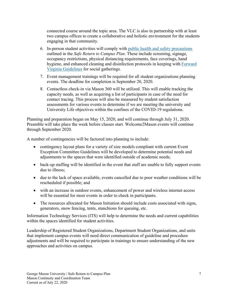connected course around the topic area. The VLC is also in partnership with at least two campus offices to create a collaborative and holistic environment for the students engaging in that community.

- 6. In-person student activities will comply with [public health and safety precautions](#page-39-0) outlined in the *Safe Return to Campus Plan*. These include screening, signage, occupancy restrictions, physical distancing requirements, face coverings, hand hygiene, and enhanced cleaning and disinfection protocols in keeping with [Forward](https://www.virginia.gov/coronavirus/forwardvirginia/)  [Virginia Guidelines](https://www.virginia.gov/coronavirus/forwardvirginia/) for social gatherings.
- 7. Event management trainings will be required for all student organizations planning events. The deadline for completion is September 20, 2020.
- 8. Contactless check-in via Mason 360 will be utilized. This will enable tracking the capacity needs, as well as acquiring a list of participants in case of the need for contact tracing. This process will also be measured by student satisfaction assessments for various events to determine if we are meeting the university and University Life objectives within the confines of the COVID-19 regulations.

Planning and preparation began on May 15, 2020, and will continue through July 31, 2020. Preamble will take place the week before classes start. Welcome2Mason events will continue through September 2020.

A number of contingencies will be factored into planning to include:

- contingency layout plans for a variety of size models compliant with current Event Exception Committee Guidelines will be developed to determine potential needs and adjustments to the spaces that were identified outside of academic needs;
- back-up staffing will be identified in the event that staff are unable to fully support events due to illness;
- due to the lack of space available, events cancelled due to poor weather conditions will be rescheduled if possible; and
- with an increase in outdoor events, enhancement of power and wireless internet access will be essential for most events in order to check in participants.
- The resources allocated for Mason Initiation should include costs associated with signs, generators, snow fencing, tents, stanchions for queuing, etc.

Information Technology Services (ITS) will help to determine the needs and current capabilities within the spaces identified for student activities.

Leadership of Registered Student Organizations, Department Student Organizations, and units that implement campus events will need direct communication of guideline and procedure adjustments and will be required to participate in trainings to ensure understanding of the new approaches and activities on campus.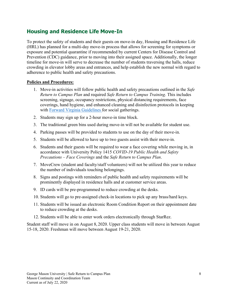# <span id="page-12-0"></span>**Housing and Residence Life Move-In**

To protect the safety of students and their guests on move-in day, Housing and Residence Life (HRL) has planned for a multi-day move-in process that allows for screening for symptoms or exposure and potential quarantine if recommended by current Centers for Disease Control and Prevention (CDC) guidance, prior to moving into their assigned space. Additionally, the longer timeline for move-in will serve to decrease the number of students traversing the halls, reduce crowding in elevator lobby areas and entrances, and help establish the new normal with regard to adherence to public health and safety precautions.

#### **Policies and Procedures:**

- 1. Move-in activities will follow public health and safety precautions outlined in the *Safe Return to Campus Plan* and required *Safe Return to Campus Training*. This includes screening, signage, occupancy restrictions, physical distancing requirements, face coverings, hand hygiene, and enhanced cleaning and disinfection protocols in keeping with [Forward Virginia Guidelines](https://www.virginia.gov/coronavirus/forwardvirginia/) for social gatherings.
- 2. Students may sign up for a 2-hour move-in time block.
- 3. The traditional green bins used during move-in will not be available for student use.
- 4. Parking passes will be provided to students to use on the day of their move-in.
- 5. Students will be allowed to have up to two guests assist with their move-in.
- 6. Students and their guests will be required to wear a face covering while moving in, in accordance with University Policy 1415 *COVID-19 Public Health and Safety Precautions – Face Coverings* and the *Safe Return to Campus Plan*.
- 7. MoveCrew (student and faculty/staff volunteers) will not be utilized this year to reduce the number of individuals touching belongings.
- 8. Signs and postings with reminders of public health and safety requirements will be prominently displayed in residence halls and at customer service areas.
- 9. ID cards will be pre-programmed to reduce crowding at the desks.
- 10. Students will go to pre-assigned check-in locations to pick up any brass/hard keys.
- 11. Students will be issued an electronic Room Condition Report on their appointment date to reduce crowding at the desks.
- 12. Students will be able to enter work orders electronically through StarRez.

Student staff will move in on August 8, 2020. Upper class students will move in between August 15-18, 2020. Freshman will move between August 19-21, 2020.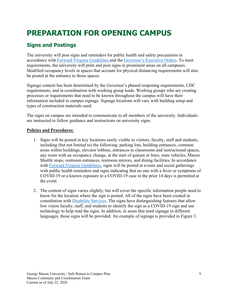# <span id="page-13-0"></span>**PREPARATION FOR OPENING CAMPUS**

# <span id="page-13-1"></span>**Signs and Postings**

The university will post signs and reminders for public health and safety precautions in accordance with [Forward Virginia Guidelines](https://www.virginia.gov/coronavirus/forwardvirginia/) and the [Governor's Executive Orders.](https://www.governor.virginia.gov/executive-actions/) To meet requirements, the university will print and post signs in prominent areas on all campuses. Modified occupancy levels in spaces that account for physical distancing requirements will also be posted at the entrance to those spaces.

Signage content has been determined by the Governor's phased reopening requirements, CDC requirements, and in coordination with working group leads. Working groups who are creating processes or requirements that need to be known throughout the campus will have their information included in campus signage. Signage locations will vary with building setup and types of construction materials used.

The signs on campus are intended to communicate to all members of the university. Individuals are instructed to follow guidance and instructions on university signs.

## **Policies and Procedures:**

- 1. Signs will be posted in key locations easily visible to visitors, faculty, staff and students, including (but not limited to) the following: parking lots, building entrances, common areas within buildings, elevator lobbies, entrances to classrooms and instructional spaces, any room with an occupancy change, at the start of queues or lines, state vehicles, Mason Shuttle stops, restroom entrances, restroom mirrors, and dining facilities. In accordance with [Forward Virginia Guidelines,](https://www.virginia.gov/coronavirus/forwardvirginia/) signs will be posted at events and social gatherings with public health reminders and signs indicating that no one with a fever or symptoms of COVID-19 or a known exposure to a COVID-19 case in the prior 14 days is permitted at the event.
- 2. The content of signs varies slightly, but will cover the specific information people need to know for the location where the sign is posted. All of the signs have been created in consultation with [Disability Services.](https://ds.gmu.edu/) The signs have distinguishing features that allow low vision faculty, staff, and students to identify the sign as a COVID-19 sign and use technology to help read the signs. In addition, in areas that need signage in different languages, those signs will be provided. An example of signage is provided in Figure 3.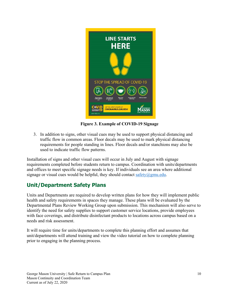

 **Figure 3. Example of COVID-19 Signage**

3. In addition to signs, other visual cues may be used to support physical distancing and traffic flow in common areas. Floor decals may be used to mark physical distancing requirements for people standing in lines. Floor decals and/or stanchions may also be used to indicate traffic flow patterns.

Installation of signs and other visual cues will occur in July and August with signage requirements completed before students return to campus. Coordination with units/departments and offices to meet specific signage needs is key. If individuals see an area where additional signage or visual cues would be helpful, they should contact [safety@gmu.edu.](mailto:safety@gmu.edu)

# <span id="page-14-0"></span>**Unit/Department Safety Plans**

Units and Departments are required to develop written plans for how they will implement public health and safety requirements in spaces they manage. These plans will be evaluated by the Departmental Plans Review Working Group upon submission. This mechanism will also serve to identify the need for safety supplies to support customer service locations, provide employees with face coverings, and distribute disinfectant products to locations across campus based on a needs and risk assessment.

It will require time for units/departments to complete this planning effort and assumes that unit/departments will attend training and view the video tutorial on how to complete planning prior to engaging in the planning process.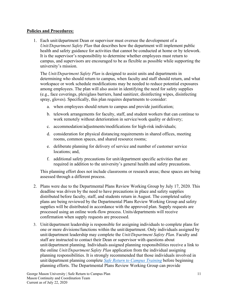#### **Policies and Procedures:**

1. Each unit/department Dean or supervisor must oversee the development of a *Unit/Department Safety Plan* that describes how the department will implement public health and safety guidance for activities that cannot be conducted at home or by telework. It is the supervisor's responsibility to determine whether employees must return to campus, and supervisors are encouraged to be as flexible as possible while supporting the university's mission.

The *Unit/Department Safety Plan* is designed to assist units and departments in determining who should return to campus, when faculty and staff should return, and what workspace or work schedule modifications may be needed to reduce potential exposures among employees. The plan will also assist in identifying the need for safety supplies (e.g., face coverings, plexiglass barriers, hand sanitizer, disinfecting wipes, disinfecting spray, gloves). Specifically, this plan requires departments to consider:

- a. when employees should return to campus and provide justification;
- b. telework arrangements for faculty, staff, and student workers that can continue to work remotely without deterioration in service/work quality or delivery;
- c. accommodation/adjustments/modifications for high-risk individuals;
- d. consideration for physical distancing requirements in shared offices, meeting rooms, common spaces, and shared resource rooms;
- e. deliberate planning for delivery of service and number of customer service locations; and,
- f. additional safety precautions for unit/department specific activities that are required in addition to the university's general health and safety precautions.

This planning effort does not include classrooms or research areas; these spaces are being assessed through a different process.

- 2. Plans were due to the Departmental Plans Review Working Group by July 17, 2020. This deadline was driven by the need to have precautions in place and safety supplies distributed before faculty, staff, and students return in August. The completed safety plans are being reviewed by the Departmental Plans Review Working Group and safety supplies will be distributed in accordance with the approved plan. Supply requests are processed using an online work-flow process. Units/departments will receive confirmation when supply requests are processed.
- 3. Unit/department leadership is responsible for assigning individuals to complete plans for one or more divisions/functions within the unit/department. Only individuals assigned by unit/department leadership may complete the *Unit/Department Safety Plan*. Faculty and staff are instructed to contact their Dean or supervisor with questions about unit/department planning. Individuals assigned planning responsibilities receive a link to the online *Unit/Department Safety Plan* application from the individual assigning planning responsibilities. It is strongly recommended that those individuals involved in unit/department planning complete *[Safe Return to Campus Training](https://shibboleth.gmu.edu/idp/profile/SAML2/Unsolicited/SSO?providerId=https%3A%2F%2Fgmu.csod.com&target=https://gmu.csod.com/ui/lms-learning-details/app/curriculum/a2489a5f-295e-4fc0-b8d4-1415a20693bf)* before beginning planning efforts. The Departmental Plans Review Working Group can provide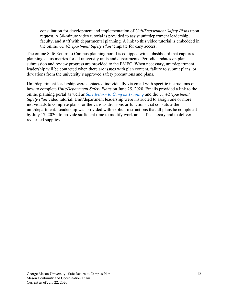consultation for development and implementation of *Unit/Department Safety Plans* upon request. A 30-minute video tutorial is provided to assist unit/department leadership, faculty, and staff with departmental planning. A link to this video tutorial is embedded in the online *Unit/Department Safety Plan* template for easy access.

The online Safe Return to Campus planning portal is equipped with a dashboard that captures planning status metrics for all university units and departments. Periodic updates on plan submission and review progress are provided to the EMEC. When necessary, unit/department leadership will be contacted when there are issues with plan content, failure to submit plans, or deviations from the university's approved safety precautions and plans.

Unit/department leadership were contacted individually via email with specific instructions on how to complete *Unit/Department Safety Plans* on June 25, 2020. Emails provided a link to the online planning portal as well as *[Safe Return to Campus Training](https://shibboleth.gmu.edu/idp/profile/SAML2/Unsolicited/SSO?providerId=https%3A%2F%2Fgmu.csod.com&target=https://gmu.csod.com/ui/lms-learning-details/app/curriculum/a2489a5f-295e-4fc0-b8d4-1415a20693bf)* and the *Unit/Department Safety Plan* video tutorial. Unit/department leadership were instructed to assign one or more individuals to complete plans for the various divisions or functions that constitute the unit/department. Leadership was provided with explicit instructions that all plans be completed by July 17, 2020, to provide sufficient time to modify work areas if necessary and to deliver requested supplies.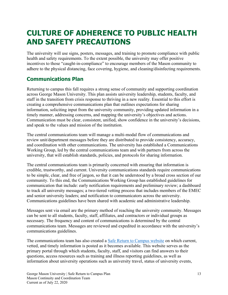# <span id="page-17-0"></span>**CULTURE OF ADHERENCE TO PUBLIC HEALTH AND SAFETY PRECAUTIONS**

The university will use signs, posters, messages, and training to promote compliance with public health and safety requirements. To the extent possible, the university may offer positive incentives to those "caught-in-compliance" to encourage members of the Mason community to adhere to the physical distancing, face covering, hygiene, and cleaning/disinfecting requirements.

# <span id="page-17-1"></span>**Communications Plan**

Returning to campus this fall requires a strong sense of community and supporting coordination across George Mason University. This plan assists university leadership, students, faculty, and staff in the transition from crisis response to thriving in a new reality. Essential to this effort is creating a comprehensive communications plan that outlines expectations for sharing information, soliciting input from the university community, providing updated information in a timely manner, addressing concerns, and mapping the university's objectives and actions. Communication must be clear, consistent, unified, show confidence in the university's decisions, and speak to the values and mission of the institution.

The central communications team will manage a multi-modal flow of communications and review unit/department messages before they are distributed to provide consistency, accuracy, and coordination with other communications. The university has established a Communications Working Group, led by the central communications team and with partners from across the university, that will establish standards, policies, and protocols for sharing information.

The central communications team is primarily concerned with ensuring that information is credible, trustworthy, and current. University communications standards require communications to be simple, clear, and free of jargon, so that it can be understood by a broad cross section of our community. To this end, the Communications Working Group has established guidelines for communication that include: early notification requirements and preliminary review; a dashboard to track all university messages; a two-tiered vetting process that includes members of the EMEC and senior university leaders; and notification to communicators across the university. Communications guidelines have been shared with academic and administrative leadership.

Messages sent via email are the primary method of reaching the university community. Messages can be sent to all students, faculty, staff, affiliates, and contractors or individual groups as necessary. The frequency and content of communications is determined by the central communications team. Messages are reviewed and expedited in accordance with the university's communications guidelines.

The communications team has also created a [Safe Return to Campus website](https://www2.gmu.edu/Safe-Return-Campus) on which current, vetted, and timely information is posted as it becomes available. This website serves as the primary portal through which students, faculty, staff, and visitors can find answers to their questions, access resources such as training and illness reporting guidelines, as well as information about university operations such as university travel, status of university events,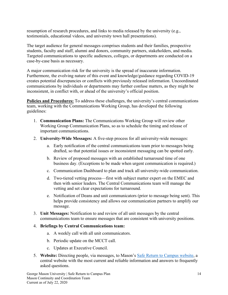resumption of research procedures, and links to media released by the university (e.g., testimonials, educational videos, and university town hall presentations).

The target audience for general messages comprises students and their families, prospective students, faculty and staff, alumni and donors, community partners, stakeholders, and media. Targeted communications to specific audiences, colleges, or departments are conducted on a case-by-case basis as necessary.

A major communication risk for the university is the spread of inaccurate information. Furthermore, the evolving nature of this event and knowledge/guidance regarding COVID-19 creates potential discrepancies or conflicts with previously released information. Uncoordinated communications by individuals or departments may further confuse matters, as they might be inconsistent, in conflict with, or ahead of the university's official position.

**Policies and Procedures:** To address these challenges, the university's central communications team, working with the Communications Working Group, has developed the following guidelines:

- 1. **Communication Plans:** The Communications Working Group will review other Working Group Communication Plans, so as to schedule the timing and release of important communications.
- 2. **University-Wide Messages:** A five-step process for all university-wide messages:
	- a. Early notification of the central communications team prior to messages being drafted, so that potential issues or inconsistent messaging can be spotted early.
	- b. Review of proposed messages with an established turnaround time of one business day. (Exceptions to be made when urgent communication is required.)
	- c. Communication Dashboard to plan and track all university-wide communication.
	- d. Two-tiered vetting process—first with subject matter expert on the EMEC and then with senior leaders. The Central Communications team will manage the vetting and set clear expectations for turnaround.
	- e. Notification of Deans and unit communicators (prior to message being sent). This helps provide consistency and allows our communication partners to amplify our message.
- 3. **Unit Messages:** Notification to and review of all unit messages by the central communications team to ensure messages that are consistent with university positions.

#### 4. **Briefings by Central Communications team:**

- a. A weekly call with all unit communicators.
- b. Periodic update on the MCCT call.
- c. Updates at Executive Council.
- 5. **Website:** Directing people, via messages, to Mason's [Safe Return to Campus website,](https://www2.gmu.edu/Safe-Return-Campus) a central website with the most current and reliable information and answers to frequently asked questions.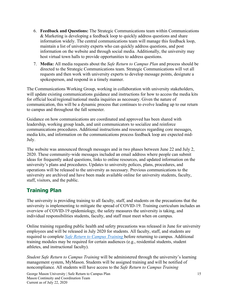- 6. **Feedback and Questions:** The Strategic Communications team within Communications & Marketing is developing a feedback loop to quickly address questions and share information widely. The central communications team will manage this feedback loop, maintain a list of university experts who can quickly address questions, and post information on the website and through social media. Additionally, the university may host virtual town halls to provide opportunities to address questions.
- 7. **Media:** All media requests about the *Safe Return to Campus Plan* and process should be directed to the Strategic Communications team. Strategic Communications will vet all requests and then work with university experts to develop message points, designate a spokesperson, and respond in a timely manner.

The Communications Working Group, working in collaboration with university stakeholders, will update existing communications guidance and instructions for how to access the media kits for official local/regional/national media inquiries as necessary. Given the nature of communication, this will be a dynamic process that continues to evolve leading up to our return to campus and throughout the fall semester.

Guidance on how communications are coordinated and approved has been shared with leadership, working group leads, and unit communicators to socialize and reinforce communications procedures. Additional instructions and resources regarding core messages, media kits, and information on the communications process feedback loop are expected mid-July.

The website was announced through messages and in two phases between June 22 and July 2, 2020. These community-wide messages included an email address where people can submit ideas for frequently asked questions, links to online resources, and updated information on the university's plans and procedures. Updates to university polices, plans, procedures, and operations will be released to the university as necessary. Previous communications to the university are archived and have been made available online for university students, faculty, staff, visitors, and the public.

# <span id="page-19-0"></span>**Training Plan**

The university is providing training to all faculty, staff, and students on the precautions that the university is implementing to mitigate the spread of COVID-19. Training curriculum includes an overview of COVID-19 epidemiology, the safety measures the university is taking, and individual responsibilities students, faculty, and staff must meet when on campus.

Online training regarding public health and safety precautions was released in June for university employees and will be released in July 2020 for students. All faculty, staff, and students are required to complete *[Safe Return to Campus Training](https://shibboleth.gmu.edu/idp/profile/SAML2/Unsolicited/SSO?providerId=https%3A%2F%2Fgmu.csod.com&target=https://gmu.csod.com/ui/lms-learning-details/app/curriculum/a2489a5f-295e-4fc0-b8d4-1415a20693bf)* before returning to campus. Additional training modules may be required for certain audiences (e.g., residential students, student athletes, and instructional faculty).

*Student Safe Return to Campus Training* will be administered through the university's learning management system, MyMason. Students will be assigned training and will be notified of noncompliance. All students will have access to the *Safe Return to Campus Training*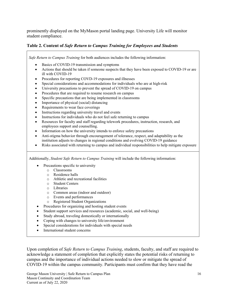prominently displayed on the MyMason portal landing page. University Life will monitor student compliance.

### **Table 2. Content of** *Safe Return to Campus Training for Employees and Students*

*Safe Return to Campus Training* for both audiences includes the following information:

- Basics of COVID-19 transmission and symptoms
- Actions that should be taken if someone suspects that they have been exposed to COVID-19 or are ill with COVID-19
- Procedures for reporting COVD-19 exposures and illnesses
- Special considerations and accommodations for individuals who are at high-risk
- University precautions to prevent the spread of COVID-19 on campus
- Procedures that are required to resume research on campus
- Specific precautions that are being implemented in classrooms
- Importance of physical (social) distancing
- Requirements to wear face coverings
- Instructions regarding university travel and events
- Instructions for individuals who do not feel safe returning to campus
- Resources for faculty and staff regarding telework procedures, instruction, research, and employees support and counselling.
- Information on how the university intends to enforce safety precautions
- Anti-stigma behavior through encouragement of tolerance, respect, and adaptability as the institution adjusts to changes in regional conditions and evolving COVID-19 guidance
- Risks associated with returning to campus and individual responsibilities to help mitigate exposure

Additionally, *Student Safe Return to Campus Training* will include the following information:

- Precautions specific to university
	- o Classrooms
		- o Residence halls
		- o Athletic and recreational facilities
		- o Student Centers
		- o Libraries
		- o Common areas (indoor and outdoor)
		- o Events and performances
	- Registered Student Organizations
- Procedures for organizing and hosting student events
- Student support services and resources (academic, social, and well-being)
- Study abroad, traveling domestically or internationally
- Coping with changes to university life/environment
- Special considerations for individuals with special needs
- International student concerns

Upon completion of *Safe Return to Campus Training*, students, faculty, and staff are required to acknowledge a statement of completion that explicitly states the potential risks of returning to campus and the importance of individual actions needed to slow or mitigate the spread of COVID-19 within the campus community. Participants must confirm that they have read the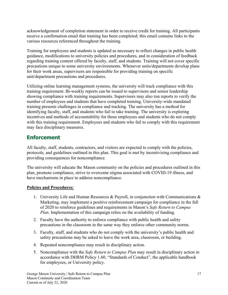acknowledgement of completion statement in order to receive credit for training. All participants receive a confirmation email that training has been completed; this email contains links to the various resources referenced throughout the training.

Training for employees and students is updated as necessary to reflect changes in public health guidance, modifications to university policies and procedures, and in consideration of feedback regarding training content offered by faculty, staff, and students. Training will not cover specific precautions unique to some university environments. Whenever units/departments develop plans for their work areas, supervisors are responsible for providing training on specific unit/department precautions and procedures.

Utilizing online learning management systems, the university will track compliance with this training requirement. Bi-weekly reports can be issued to supervisors and senior leadership showing compliance with training requirements. Supervisors may also run reports to verify the number of employees and students that have completed training. University-wide mandated training presents challenges in compliance and tracking. The university has a method for identifying faculty, staff, and students who fail to take training. The university is exploring incentives and methods of accountability for those employees and students who do not comply with this training requirement. Employees and students who fail to comply with this requirement may face disciplinary measures.

# <span id="page-21-0"></span>**Enforcement**

All faculty, staff, students, contractors, and visitors are expected to comply with the policies, protocols, and guidelines outlined in this plan. This goal is met by incentivizing compliance and providing consequences for noncompliance.

The university will educate the Mason community on the policies and procedures outlined in this plan, promote compliance, strive to overcome stigma associated with COVID-19 illness, and have mechanisms in place to address noncompliance.

### **Policies and Procedures:**

- 1. University Life and Human Resources & Payroll, in conjunction with Communications & Marketing, may implement a positive reinforcement campaign for compliance in the fall of 2020 to reinforce guidelines and requirements in Mason's *Safe Return to Campus Plan*. Implementation of this campaign relies on the availability of funding.
- 2. Faculty have the authority to enforce compliance with public health and safety precautions in the classroom in the same way they enforce other community norms.
- 3. Faculty, staff, and students who do not comply with the university's public health and safety precautions may be asked to leave the work area, classroom, or building.
- 4. Repeated noncompliance may result in disciplinary action.
- 5. Noncompliance with the *Safe Return to Campus Plan* may result in disciplinary action in accordance with DHRM Policy 1.60, "Standards of Conduct", the applicable handbook for employees, or University policy.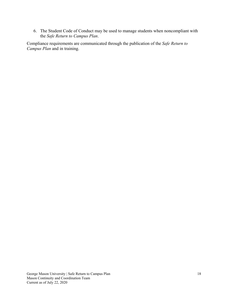6. The Student Code of Conduct may be used to manage students when noncompliant with the *Safe Return to Campus Plan*.

Compliance requirements are communicated through the publication of the *Safe Return to Campus Plan* and in training.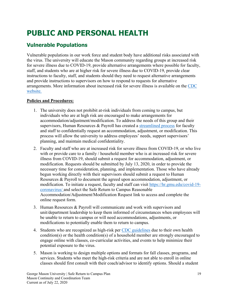# <span id="page-23-0"></span>**PUBLIC AND PERSONAL HEALTH**

# <span id="page-23-1"></span>**Vulnerable Populations**

Vulnerable populations in our work force and student body have additional risks associated with the virus. The university will educate the Mason community regarding groups at increased risk for severe illness due to COVID-19, provide alternative arrangements where possible for faculty, staff, and students who are at higher risk for severe illness due to COVID-19, provide clear instructions to faculty, staff, and students should they need to request alternative arrangements and provide instructions to supervisors on how to respond to requests for alternative arrangements. More information about increased risk for severe illness is available on the [CDC](https://www.cdc.gov/coronavirus/2019-ncov/need-extra-precautions/people-at-increased-risk.html)  [website.](https://www.cdc.gov/coronavirus/2019-ncov/need-extra-precautions/people-at-increased-risk.html)

## **Policies and Procedures:**

- 1. The university does not prohibit at-risk individuals from coming to campus, but individuals who are at high risk are encouraged to make arrangements for accommodation/adjustment/modification. To address the needs of this group and their supervisors, Human Resources & Payroll has created a [streamlined process](https://hr.gmu.edu/covid-19-coronavirus/) for faculty and staff to confidentially request an accommodation, adjustment, or modification. This process will allow the university to address employees' needs, support supervisors' planning, and maintain medical confidentiality.
- 2. Faculty and staff who are at increased risk for severe illness from COVID-19, or who live with or provide care to a family / household member who is at increased risk for severe illness from COVID-19, should submit a request for accommodation, adjustment, or modification. Requests should be submitted by July 13, 2020, in order to provide the necessary time for consideration, planning, and implementation. Those who have already begun working directly with their supervisors should submit a request to Human Resources & Payroll to document the agreed upon accommodation, adjustment, or modification. To initiate a request, faculty and staff can visit [https://hr.gmu.edu/covid-19](https://hr.gmu.edu/covid-19-coronavirus/) [coronavirus/](https://hr.gmu.edu/covid-19-coronavirus/) and select the Safe Return to Campus Reasonable Accommodation/Adjustment/Modification Request link to access and complete the online request form.
- 3. Human Resources & Payroll will communicate and work with supervisors and unit/department leadership to keep them informed of circumstances when employees will be unable to return to campus or will need accommodations, adjustments, or modifications to potentially enable them to return to campus.
- 4. Students who are recognized as high-risk per [CDC guidelines](https://www.cdc.gov/coronavirus/2019-ncov/need-extra-precautions/people-at-higher-risk-old.html) due to their own health condition(s) or the health condition(s) of a household member are strongly encouraged to engage online with classes, co-curricular activities, and events to help minimize their potential exposure to the virus.
- 5. Mason is working to design multiple options and formats for fall classes, programs, and services. Students who meet the high-risk criteria and are not able to enroll in online classes should first consult with their coach/advisor to identify options. Should a student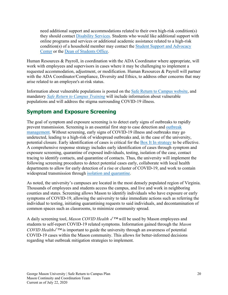need additional support and accommodations related to their own high-risk condition(s) they should contact [Disability Services.](https://ds.gmu.edu/) Students who would like additional support with online programs and services or additional academic assistance related to a high-risk condition(s) of a household member may contact the [Student Support and Advocacy](https://ssac.gmu.edu/)  [Center](https://ssac.gmu.edu/) or the [Dean of Students Office.](https://ulife.gmu.edu/)

Human Resources & Payroll, in coordination with the ADA Coordinator where appropriate, will work with employees and supervisors in cases where it may be challenging to implement a requested accommodation, adjustment, or modification. Human Resources & Payroll will partner with the ADA Coordinator/Compliance, Diversity and Ethics, to address other concerns that may arise related to an employee's at-risk status.

Information about vulnerable populations is posted on the [Safe Return to Campus website,](https://www2.gmu.edu/Safe-Return-Campus) and mandatory *[Safe Return to Campus Training](https://shibboleth.gmu.edu/idp/profile/SAML2/Unsolicited/SSO?providerId=https%3A%2F%2Fgmu.csod.com&target=https://gmu.csod.com/ui/lms-learning-details/app/curriculum/a2489a5f-295e-4fc0-b8d4-1415a20693bf)* will include information about vulnerable populations and will address the stigma surrounding COVID-19 illness.

# <span id="page-24-0"></span>**Symptom and Exposure Screening**

The goal of symptom and exposure screening is to detect early signs of outbreaks to rapidly prevent transmission. Screening is an essential first step to case detection and [outbreak](#page-32-0)  [management.](#page-32-0) Without screening, early signs of COVID-19 illness and outbreaks may go undetected, leading to a high-risk of widespread outbreaks and, in the case of the university, potential closure. Early identification of cases is critical for the [Box It In strategy](https://preventepidemics.org/wp-content/uploads/2020/04/BoxItInBriefingDoc.pdf) to be effective. A comprehensive response strategy includes early identification of cases through symptom and exposure screening, quarantine of exposed individuals, testing, isolation of the case, contact tracing to identify contacts, and quarantine of contacts. Thus, the university will implement the following screening procedures to detect potential cases early, collaborate with local health departments to allow for early detection of a rise or cluster of COVID-19, and work to contain widespread transmission through [isolation and quarantine.](#page-30-0)

As noted, the university's campuses are located in the most densely populated region of Virginia. Thousands of employees and students access the campus, and live and work in neighboring counties and states. Screening allows Mason to identify individuals who have exposure or early symptoms of COVID-19, allowing the university to take immediate actions such as referring the individual to testing, initiating quarantining requests to said individuals, and decontamination of common spaces such as classrooms, to minimize community spread.

A daily screening tool, *Mason COVID Health* ✓*™* will be used by Mason employees and students to self-report COVID-19 related symptoms. Information gained through the *Mason COVID Health*√<sup>™</sup> is important to guide the university through an awareness of potential COVID-19 cases within the Mason community. This allows for better-informed decisions regarding what outbreak mitigation strategies to implement.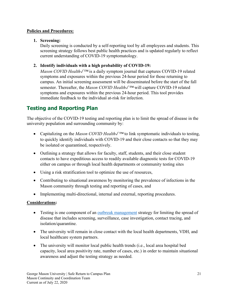### **Policies and Procedures:**

## **1. Screening:**

Daily screening is conducted by a self-reporting tool by all employees and students. This screening strategy follows best public health practices and is updated regularly to reflect current understanding of COVID-19 symptomatology.

## **2. Identify individuals with a high probability of COVID-19:**

<span id="page-25-1"></span>*Mason COVID Health*√<sup>™</sup> is a daily symptom journal that captures COVID-19 related symptoms and exposures within the previous 24-hour period for those returning to campus. An initial screening assessment will be disseminated before the start of the fall semester. Thereafter, the *Mason COVID Health*✓*™* will capture COVID-19 related symptoms and exposures within the previous 24-hour period. This tool provides immediate feedback to the individual at-risk for infection.

# <span id="page-25-0"></span>**Testing and Reporting Plan**

The objective of the COVID-19 testing and reporting plan is to limit the spread of disease in the university population and surrounding community by:

- Capitalizing on the *Mason COVID Health*✓*™* to link symptomatic individuals to testing, to quickly identify individuals with COVID-19 and their close contacts so that they may be isolated or quarantined, respectively.
- Outlining a strategy that allows for faculty, staff, students, and their close student contacts to have expeditious access to readily available diagnostic tests for COVID-19 either on campus or through local health departments or community testing sites
- Using a risk stratification tool to optimize the use of resources,
- Contributing to situational awareness by monitoring the prevalence of infections in the Mason community through testing and reporting of cases, and
- Implementing multi-directional, internal and external, reporting procedures.

### **Considerations:**

- Testing is one component of an [outbreak management](#page-32-0) strategy for limiting the spread of disease that includes screening, surveillance, case investigation, contact tracing, and isolation/quarantine.
- The university will remain in close contact with the local health departments, VDH, and local healthcare system partners.
- The university will monitor local public health trends (i.e., local area hospital bed capacity, local area positivity rate, number of cases, etc.) in order to maintain situational awareness and adjust the testing strategy as needed.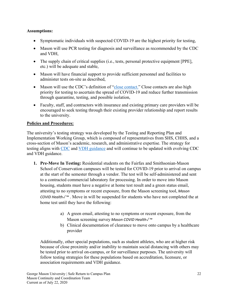## **Assumptions:**

- Symptomatic individuals with suspected COVID-19 are the highest priority for testing,
- Mason will use PCR testing for diagnosis and surveillance as recommended by the CDC and VDH,
- The supply chain of critical supplies (i.e., tests, personal protective equipment [PPE], etc.) will be adequate and stable,
- Mason will have financial support to provide sufficient personnel and facilities to administer tests on-site as described,
- Mason will use the CDC's definition of ["close contact.](https://www.cdc.gov/coronavirus/2019-ncov/php/contact-tracing/contact-tracing-plan/appendix.html#contact)" Close contacts are also high priority for testing to ascertain the spread of COVID-19 and reduce further transmission through quarantine, testing, and possible isolation,
- Faculty, staff, and contractors with insurance and existing primary care providers will be encouraged to seek testing through their existing provider relationship and report results to the university.

### **Policies and Procedures:**

The university's testing strategy was developed by the Testing and Reporting Plan and Implementation Working Group, which is composed of representatives from SHS, CHHS, and a cross-section of Mason's academic, research, and administrative expertise. The strategy for testing aligns with [CDC](https://www.cdc.gov/coronavirus/2019-ncov/hcp/testing-overview.html) and [VDH guidance](https://www.vdh.virginia.gov/content/uploads/sites/182/2020/05/VDH-COVID-19-Testing-for-Colleges-and-Universities.pdf) and will continue to be updated with evolving CDC and VDH guidance.

- **1. Pre-Move In Testing:** Residential students on the Fairfax and Smithsonian-Mason School of Conservation campuses will be tested for COVID-19 prior to arrival on campus at the start of the semester through a vendor. The test will be self-administered and sent to a contracted commercial laboratory for processing. In order to move into Mason housing, students must have a negative at home test result and a green status email, attesting to no symptoms or recent exposure, from the Mason screening tool, *Mason COVID Health*✓*™* . Move in will be suspended for students who have not completed the at home test until they have the following:
	- a) A green email, attesting to no symptoms or recent exposure, from the Mason screening survey *Mason COVID Health*✓*™*
	- b) Clinical documentation of clearance to move onto campus by a healthcare provider

Additionally, other special populations, such as student athletes, who are at higher risk because of close proximity and/or inability to maintain social distancing with others may be tested prior to arrival on-campus, or for surveillance purposes. The university will follow testing strategies for these populations based on accreditation, licensure, or association requirements and VDH guidance.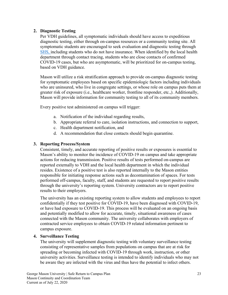## **2. Diagnostic Testing**

Per VDH guidelines, all symptomatic individuals should have access to expeditious diagnostic testing, either through on-campus resources or a community testing site. All symptomatic students are encouraged to seek evaluation and diagnostic testing through [SHS,](#page-73-0) including students who do not have insurance. When identified by the local health department through contact tracing, students who are close contacts of confirmed COVID-19 cases, but who are asymptomatic, will be prioritized for on-campus testing, based on VDH guidance.

Mason will utilize a risk stratification approach to provide on-campus diagnostic testing for symptomatic employees based on specific epidemiologic factors including individuals who are uninsured, who live in congregate settings, or whose role on campus puts them at greater risk of exposure (i.e., healthcare worker, frontline responder, etc.,). Additionally, Mason will provide information for community testing to all of its community members.

Every positive test administered on campus will trigger:

- a. Notification of the individual regarding results,
- b. Appropriate referral to care, isolation instructions, and connection to support,
- c. Health department notification, and
- d. A recommendation that close contacts should begin quarantine.

## **3. Reporting Process/System**

Consistent, timely, and accurate reporting of positive results or exposures is essential to Mason's ability to monitor the incidence of COVID-19 on campus and take appropriate actions for reducing transmission. Positive results of tests performed on-campus are reported externally to VDH and the local health department in which the individual resides. Existence of a positive test is also reported internally to the Mason entities responsible for initiating response actions such as decontamination of spaces. For tests performed off-campus, faculty, staff, and students are requested to report positive results through the university's reporting system. University contractors are to report positive results to their employers.

The university has an existing reporting system to allow students and employees to report confidentially if they test positive for COVID-19, have been diagnosed with COVID-19, or have had exposure to COVID-19. This process will be evaluated on an ongoing basis and potentially modified to allow for accurate, timely, situational awareness of cases connected with the Mason community. The university collaborates with employers of contracted service employees to obtain COVID-19 related information pertinent to campus exposure.

### **4. Surveillance Testing**

The university will supplement diagnostic testing with voluntary surveillance testing consisting of representative samples from populations on campus that are at risk for spreading or becoming infected with COVID-19 through work, instruction, or other university activities. Surveillance testing is intended to identify individuals who may not be aware they are infected with the virus and thus have the potential to infect others.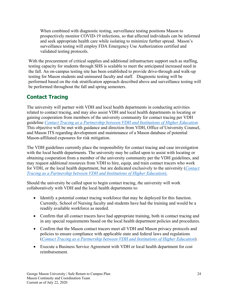When combined with diagnostic testing, surveillance testing positions Mason to prospectively monitor COVID-19 infections, so that affected individuals can be informed and seek appropriate health care while isolating to minimize further spread. Mason's surveillance testing will employ FDA Emergency Use Authorization certified and validated testing protocols.

With the procurement of critical supplies and additional infrastructure support such as staffing, testing capacity for students through SHS is scalable to meet the anticipated increased need in the fall. An on-campus testing site has been established to provide drive-through and walk-up testing for Mason students and uninsured faculty and staff. Diagnostic testing will be performed based on the risk stratification approach described above and surveillance testing will be performed throughout the fall and spring semesters.

# <span id="page-28-0"></span>**Contact Tracing**

The university will partner with VDH and local health departments in conducting activities related to contact tracing, and may also assist VDH and local health departments in locating or gaining cooperation from members of the university community for contact tracing per VDH guideline *[Contact Tracing as a Partnership between VDH and Institutions of Higher Education.](https://www.vdh.virginia.gov/content/uploads/sites/182/2020/06/VDH-IHE-and-Contact-Tracing_062320_final.pdf)* This objective will be met with guidance and direction from VDH, Office of University Counsel, and Mason ITS regarding development and maintenance of a Mason database of potential Mason-affiliated exposures for risk mitigation.

The VDH guidelines currently place the responsibility for contact tracing and case investigation with the local health departments. The university may be called upon to assist with locating or obtaining cooperation from a member of the university community per the VDH guidelines, and may request additional resources from VDH to hire, equip, and train contact tracers who work for VDH, or the local health department, but are dedicated exclusively to the university (*[Contact](https://www.vdh.virginia.gov/content/uploads/sites/182/2020/06/VDH-IHE-and-Contact-Tracing_062320_final.pdf)  [Tracing as a Partnership between VDH and Institutions of Higher Education](https://www.vdh.virginia.gov/content/uploads/sites/182/2020/06/VDH-IHE-and-Contact-Tracing_062320_final.pdf)*).

Should the university be called upon to begin contact tracing, the university will work collaboratively with VDH and the local health departments to:

- Identify a potential contact tracing workforce that may be deployed for this function. Currently, School of Nursing faculty and students have had the training and would be a readily available workforce as needed.
- Confirm that all contact tracers have had appropriate training, both in contact tracing and in any special requirements based on the local health department policies and procedures.
- Confirm that the Mason contact tracers meet all VDH and Mason privacy protocols and policies to ensure compliance with applicable state and federal laws and regulations (*[Contact Tracing as a Partnership between VDH and Institutions of Higher Education](https://www.vdh.virginia.gov/content/uploads/sites/182/2020/06/VDH-IHE-and-Contact-Tracing_062320_final.pdf)*).
- Execute a Business Service Agreement with VDH or local health department for cost reimbursement.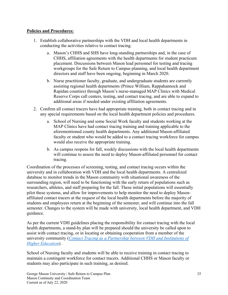### **Policies and Procedures:**

- 1. Establish collaborative partnerships with the VDH and local health departments in conducting the activities relative to contact tracing.
	- a. Mason's CHHS and SHS have long-standing partnerships and, in the case of CHHS, affiliation agreements with the health departments for student practicum placement. Discussions between Mason lead personnel for testing and tracing workgroups for the Safe Return to Campus planning, and local health department directors and staff have been ongoing, beginning in March 2020.
	- b. Nurse practitioner faculty, graduate, and undergraduate students are currently assisting regional health departments (Prince William, Rappahannock and Rapidan counties) through Mason's nurse-managed MAP Clinics with Medical Reserve Corps call centers, testing, and contact tracing, and are able to expand to additional areas if needed under existing affiliation agreements.
- 2. Confirm all contact tracers have had appropriate training, both in contact tracing and in any special requirements based on the local health department policies and procedures.
	- a. School of Nursing and some Social Work faculty and students working at the MAP Clinics have had contact tracing training and training applicable to the aforementioned county health departments. Any additional Mason-affiliated faculty or student who would be added to a contact tracing workforce for campus would also receive the appropriate training.
	- b. As campus reopens for fall, weekly discussions with the local health departments will continue to assess the need to deploy Mason-affiliated personnel for contact tracing.

Coordination of the processes of screening, testing, and contact tracing occurs within the university and in collaboration with VDH and the local health departments. A centralized database to monitor trends in the Mason community with situational awareness of the surrounding region, will need to be functioning with the early return of populations such as researchers, athletes, and staff preparing for the fall. These initial populations will essentially pilot these systems, and allow for improvements to help monitor the need to deploy Masonaffiliated contact tracers at the request of the local health departments before the majority of students and employees return at the beginning of the semester, and will continue into the fall semester. Changes to the system will be made with university, local health department, and VDH guidance.

As per the current VDH guidelines placing the responsibility for contact tracing with the local health departments, a stand-by plan will be prepared should the university be called upon to assist with contact tracing, or in locating or obtaining cooperation from a member of the university community (*[Contact Tracing as a Partnership between VDH and Institutions of](https://www.vdh.virginia.gov/content/uploads/sites/182/2020/06/VDH-IHE-and-Contact-Tracing_062320_final.pdf)  [Higher Education](https://www.vdh.virginia.gov/content/uploads/sites/182/2020/06/VDH-IHE-and-Contact-Tracing_062320_final.pdf)*).

School of Nursing faculty and students will be able to receive training in contact tracing to maintain a contingent workforce for contact tracers. Additional CHHS or Mason faculty or students may also participate in such training, as desired.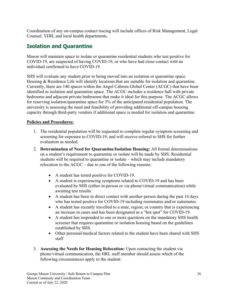Coordination of any on-campus contact tracing will include offices of Risk Management, Legal Counsel, VDH, and local health departments.

# <span id="page-30-0"></span>**Isolation and Quarantine**

Mason will maintain space to isolate or quarantine residential students who test positive for COVID-19, are suspected of having COVID-19, or who have had close contact with an individual confirmed to have COVID-19.

SHS will evaluate any student prior to being moved into an isolation or quarantine space. Housing & Residence Life will identify locations that are suitable for isolation and quarantine. Currently, there are 140 spaces within the Angel Cabrera Global Center (ACGC) that have been identified as isolation and quarantine space. The ACGC includes a residence hall with private bedrooms and adjacent private bathrooms that make it ideal for this purpose. The ACGC allows for reserving isolation/quarantine space for 3% of the anticipated residential population. The university is assessing the need and feasibility of providing additional off-campus housing capacity through third-party vendors if additional space is needed for isolation and quarantine.

### **Policies and Procedures:**

- 1. The residential population will be requested to complete regular symptom screening and screening for exposure to COVID-19, and will receive referral to SHS for further evaluation as needed.
- 2. **Determination of Need for Quarantine/Isolation Housing:** All formal determinations on a student's requirement to quarantine or isolate will be made by SHS. Residential students will be required to quarantine or isolate – which may include mandatory relocation to the ACGC – due to one of the following reasons:
	- A student has tested positive for COVID-19.
	- A student is experiencing symptoms related to COVID-19 and has been evaluated by SHS (either in-person or via phone/virtual communication) while awaiting test results.
	- A student has been in direct contact with another person during the past 14 days who has tested positive for COVID-19 including roommates and/or suitemates.
	- A student has recently travelled to a state, region, or country that is experiencing an increase in cases and has been designated as a "hot spot" for COVID-19.
	- A student has responded to one or more questions on the mandatory SHS health screener that requires quarantine or isolation housing based on the guidelines established by SHS.
	- Other personal/medical factors related to the student have been shared with SHS staff
- 3. **Assessing the Needs for Housing Relocation:** Upon contacting the student via phone/virtual communication, the HRL staff member should assess which of the following circumstances apply to the student: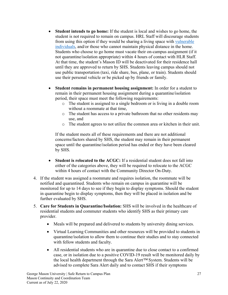- **Student intends to go home:** If the student is local and wishes to go home, the student is not required to remain on campus. HRL Staff will discourage students from using this option if they would be sharing a living space with [vulnerable](#page-23-1)  [individuals,](#page-23-1) and/or those who cannot maintain physical distance in the home. Students who choose to go home must vacate their on-campus assignment (if it not quarantine/isolation appropriate) within 4 hours of contact with HLR Staff. At that time, the student's Mason ID will be deactivated for their residence hall until they are approved to return by SHS. Students leaving campus should not use public transportation (taxi, ride share, bus, plane, or train). Students should use their personal vehicle or be picked up by friends or family.
- **Student remains in permanent housing assignment:** In order for a student to remain in their permanent housing assignment during a quarantine/isolation period, their space must meet the following requirements:
	- o The student is assigned to a single bedroom or is living in a double room without a roommate at that time,
	- o The student has access to a private bathroom that no other residents may use, and
	- o The student agrees to not utilize the common area or kitchen in their unit.

If the student meets all of these requirements and there are not additional concerns/factors shared by SHS, the student may remain in their permanent space until the quarantine/isolation period has ended or they have been cleared by SHS.

- **Student is relocated to the ACGC:** If a residential student does not fall into either of the categories above, they will be required to relocate to the ACGC within 4 hours of contact with the Community Director On-Duty.
- 4. If the student was assigned a roommate and requires isolation, the roommate will be notified and quarantined. Students who remain on campus in quarantine will be monitored for up to 14 days to see if they begin to display symptoms. Should the student in quarantine begin to display symptoms, then they will be placed in isolation and be further evaluated by SHS.
- 5. **Care for Students in Quarantine/Isolation:** SHS will be involved in the healthcare of residential students and commuter students who identify SHS as their primary care provider.
	- Meals will be prepared and delivered to students by university dining services.
	- Virtual Learning Communities and other resources will be provided to students in quarantine/isolation to allow them to continue their studies and to stay connected with fellow students and faculty.
	- All residential students who are in quarantine due to close contact to a confirmed case, or in isolation due to a positive COVID-19 result will be monitored daily by the local health department through the Sara Alert*™* System. Students will be advised to complete Sara Alert daily and to contact SHS if their symptoms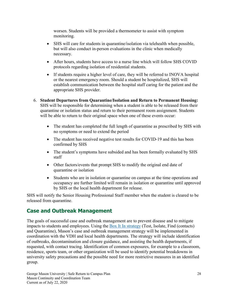worsen. Students will be provided a thermometer to assist with symptom monitoring.

- SHS will care for students in quarantine/isolation via telehealth when possible, but will also conduct in-person evaluations in the clinic when medically necessary.
- After hours, students have access to a nurse line which will follow SHS COVID protocols regarding isolation of residential students.
- If students require a higher level of care, they will be referred to INOVA hospital or the nearest emergency room. Should a student be hospitalized, SHS will establish communication between the hospital staff caring for the patient and the appropriate SHS provider.
- 6. **Student Departures from Quarantine/Isolation and Return to Permanent Housing:**  SHS will be responsible for determining when a student is able to be released from their quarantine or isolation status and return to their permanent room assignment. Students will be able to return to their original space when one of these events occur:
	- The student has completed the full length of quarantine as prescribed by SHS with no symptoms or need to extend the period
	- The student has received negative test results for COVID-19 and this has been confirmed by SHS
	- The student's symptoms have subsided and has been formally evaluated by SHS staff
	- Other factors/events that prompt SHS to modify the original end date of quarantine or isolation
	- Students who are in isolation or quarantine on campus at the time operations and occupancy are further limited will remain in isolation or quarantine until approved by SHS or the local health department for release.

SHS will notify the Senior Housing Professional Staff member when the student is cleared to be released from quarantine.

# <span id="page-32-0"></span>**Case and Outbreak Management**

The goals of successful case and outbreak management are to prevent disease and to mitigate impacts to students and employees. Using the **Box It In strategy** (Test, Isolate, Find (contacts) and Quarantine), Mason's case and outbreak management strategy will be implemented in coordination with the VDH and local health departments. The strategy will include identification of outbreaks, decontamination and closure guidance, and assisting the health departments, if requested, with contact tracing. Identification of common exposures, for example to a classroom, residence, sports team, or other organization will be used to identify potential breakdowns in university safety precautions and the possible need for more restrictive measures in an identified group.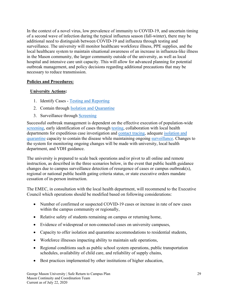In the context of a novel virus, low prevalence of immunity to COVID-19, and uncertain timing of a second wave of infection during the typical influenza season (fall-winter), there may be additional need to distinguish between COVID-19 and influenza through testing and surveillance. The university will monitor healthcare workforce illness, PPE supplies, and the local healthcare system to maintain situational awareness of an increase in influenza-like illness in the Mason community, the larger community outside of the university, as well as local hospital and intensive care unit capacity. This will allow for advanced planning for potential outbreak management, and policy decisions regarding additional precautions that may be necessary to reduce transmission.

### **Policies and Procedures:**

#### **University Actions:**

- 1. Identify Cases [Testing and Reporting](#page-25-1)
- 2. Contain through **Isolation and Quarantine**
- 3. Surveillance through [Screening](#page-24-0)

Successful outbreak management is dependent on the effective execution of population-wide [screening,](#page-24-0) early identification of cases through [testing,](#page-25-1) collaboration with local health departments for expeditious case investigation and [contact tracing,](#page-28-0) adequate [isolation and](#page-30-0)  [quarantine](#page-30-0) capacity to contain the disease while maintaining ongoing [surveillance.](#page-24-0) Changes to the system for monitoring ongoing changes will be made with university, local health department, and VDH guidance.

The university is prepared to scale back operations and/or pivot to all online and remote instruction, as described in the three scenarios below, in the event that public health guidance changes due to campus surveillance detection of resurgence of cases or campus outbreak(s), regional or national public health gating criteria status, or state executive orders mandate cessation of in-person instruction.

The EMEC, in consultation with the local health department, will recommend to the Executive Council which operations should be modified based on following considerations:

- Number of confirmed or suspected COVID-19 cases or increase in rate of new cases within the campus community or regionally,
- Relative safety of students remaining on campus or returning home,
- Evidence of widespread or non-connected cases on university campuses,
- Capacity to offer isolation and quarantine accommodations to residential students,
- Workforce illnesses impacting ability to maintain safe operations,
- Regional conditions such as public school system operations, public transportation schedules, availability of child care, and reliability of supply chains,
- Best practices implemented by other institutions of higher education,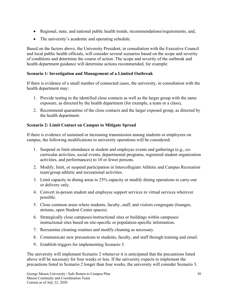- Regional, state, and national public health trends, recommendations/requirements, and,
- The university's academic and operating schedule.

Based on the factors above, the University President, in consultation with the Executive Council and local public health officials, will consider several scenarios based on the scope and severity of conditions and determine the course of action. The scope and severity of the outbreak and health department guidance will determine actions recommended, for example:

#### **Scenario 1: Investigation and Management of a Limited Outbreak**

If there is evidence of a small number of connected cases, the university, in consultation with the health department may:

- 1. Provide testing to the identified close contacts as well as the larger group with the same exposure, as directed by the health department (for example, a team or a class),
- 2. Recommend quarantine of the close contacts and the larger exposed group, as directed by the health department.

#### **Scenario 2: Limit Contact on Campus to Mitigate Spread**

If there is evidence of sustained or increasing transmission among students or employees on campus, the following modifications to university operations will be considered:

- 1. Suspend or limit attendance at student and employee events and gatherings (e.g., cocurricular activities, social events, departmental programs, registered student organization activities, and performances) to 10 or fewer persons.
- 2. Modify, limit, or suspend participation in Intercollegiate Athletic and Campus Recreation team/group athletic and recreational activities.
- 3. Limit capacity in dining areas to 25% capacity or modify dining operations to carry-out or delivery only.
- 4. Convert in-person student and employee support services to virtual services wherever possible.
- 5. Close common areas where students, faculty, staff, and visitors congregate (lounges, atriums, open Student Center spaces).
- 6. Strategically close campuses/instructional sites or buildings within campuses/ instructional sites based on site-specific or population-specific information.
- 7. Reexamine cleaning routines and modify cleaning as necessary.
- 8. Communicate new precautions to students, faculty, and staff through training and email.
- 9. Establish triggers for implementing Scenario 3.

The university will implement Scenario 2 whenever it is anticipated that the precautions listed above will be necessary for four weeks or less. If the university expects to implement the precautions listed in Scenario 2 longer than four weeks, the university will consider Scenario 3.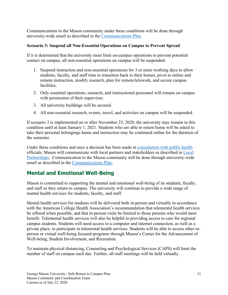Communications to the Mason community under these conditions will be done through university-wide email as described in the [Communications Plan.](#page-17-1)

#### **Scenario 3: Suspend all Non-Essential Operations on Campus to Prevent Spread**

If it is determined that the university must limit on-campus operations to prevent potential contact on campus, all non-essential operations on campus will be suspended.

- 1. Suspend instruction and non-essential operations for 3 or more working days to allow students, faculty, and staff time to transition back to their homes, pivot to online and remote instruction, modify research, plan for remote/telework, and secure campus facilities.
- 2. Only essential operations, research, and instructional personnel will remain on campus with permission of their supervisor.
- 3. All university buildings will be secured.
- 4. All non-essential research, events, travel, and activities on campus will be suspended.

If scenario 3 is implemented on or after November 23, 2020, the university may remain in this condition until at least January 1, 2021. Students who are able to return home will be asked to take their personal belongings home and instruction may be continued online for the duration of the semester.

Under these conditions and once a decision has been made in [consultation with public health](#page-6-1) officials, Mason will communicate with local partners and stakeholders as described in [Local](#page-8-0)  [Partnerships.](#page-8-0) Communication to the Mason community will be done through university-wide email as described in the [Communications Plan.](#page-17-1)

# <span id="page-35-0"></span>**Mental and Emotional Well-Being**

Mason is committed to supporting the mental and emotional well-being of its students, faculty, and staff as they return to campus. The university will continue to provide a wide range of mental health services for students, faculty, and staff.

Mental health services for students will be delivered both in-person and virtually in accordance with the American College Health Association's recommendation that telemental health services be offered when possible, and that in-person visits be limited to those persons who would most benefit. Telemental health services will also be helpful in providing access to care for regional campus students. Students will need access to a computer and internet connection, as well as a private place, to participate in telemental health services. Students will be able to access other inperson or virtual well-being focused programs through Mason's Center for the Advancement of Well-being, Student Involvement, and Recreation.

To maintain physical distancing, Counseling and Psychological Services (CAPS) will limit the number of staff on campus each day. Further, all staff meetings will be held virtually.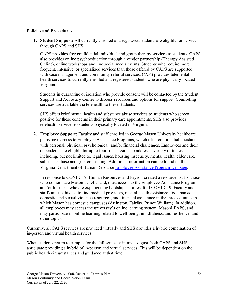#### **Policies and Procedures:**

**1. Student Support:** All currently enrolled and registered students are eligible for services through CAPS and SHS.

CAPS provides free confidential individual and group therapy services to students. CAPS also provides online psychoeducation through a vendor partnership (Therapy Assisted Online), online workshops and live social media events. Students who require more frequent, intensive, or specialized services than those offered by CAPS are supported with case management and community referral services. CAPS provides telemental health services to currently enrolled and registered students who are physically located in Virginia.

Students in quarantine or isolation who provide consent will be contacted by the Student Support and Advocacy Center to discuss resources and options for support. Counseling services are available via telehealth to these students.

SHS offers brief mental health and substance abuse services to students who screen positive for these concerns in their primary care appointments. SHS also provides telehealth services to students physically located in Virginia.

**2. Employee Support:** Faculty and staff enrolled in George Mason University healthcare plans have access to Employee Assistance Programs, which offer confidential assistance with personal, physical, psychological, and/or financial challenges. Employees and their dependents are eligible for up to four free sessions to address a variety of topics including, but not limited to, legal issues, housing insecurity, mental health, elder care, substance abuse and grief counseling. Additional information can be found on the Virginia Department of Human Resource [Employee Assistance Program webpage.](https://www.dhrm.virginia.gov/employeebenefits/employee-assistance)

In response to COVID-19, Human Resources and Payroll created a resource list for those who do not have Mason benefits and, thus, access to the Employee Assistance Program, and/or for those who are experiencing hardships as a result of COVID-19. Faculty and staff can use this list to find medical providers, mental health assistance, food banks, domestic and sexual violence resources, and financial assistance in the three counties in which Mason has domestic campuses (Arlington, Fairfax, Prince William). In addition, all employees may access the university's online learning system, MasonLEAPS, and may participate in online learning related to well-being, mindfulness, and resilience, and other topics.

Currently, all CAPS services are provided virtually and SHS provides a hybrid combination of in-person and virtual health services.

When students return to campus for the fall semester in mid-August, both CAPS and SHS anticipate providing a hybrid of in-person and virtual services. This will be dependent on the public health circumstances and guidance at that time.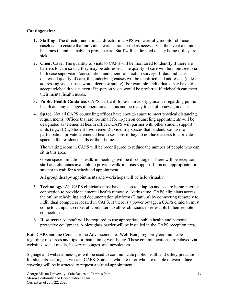#### **Contingencies:**

- **1. Staffing:** The director and clinical director in CAPS will carefully monitor clinicians' caseloads to ensure that individual care is transferred as necessary in the event a clinician becomes ill and is unable to provide care. Staff will be directed to stay home if they are sick.
- **2. Client Care:** The quantity of visits to CAPS will be monitored to identify if there are barriers to care so that they may be addressed. The quality of care will be monitored via both case supervision/consultation and client satisfaction surveys. If data indicates decreased quality of care, the underlying causes will be identified and addressed (unless addressing such causes would decrease safety). For example, individuals may have to accept telehealth visits even if in-person visits would be preferred if telehealth can meet their mental health needs.
- **3. Public Health Guidance**: CAPS staff will follow university guidance regarding public health and any changes in operational status and be ready to adapt to new guidance.
- **4. Space**: Not all CAPS counseling offices have enough space to meet physical distancing requirements. Offices that are too small for in-person counseling appointments will be designated as telemental health offices. CAPS will partner with other student support units (e.g., HRL, Student Involvement) to identify spaces that students can use to participate in private telemental health sessions if they do not have access to a private space in the residence halls or their home.

The waiting room in CAPS will be reconfigured to reduce the number of people who can sit in this area.

Given space limitations, walk-in meetings will be discouraged. There will be reception staff and clinicians available to provide walk-in crisis support if it is not appropriate for a student to wait for a scheduled appointment.

All group therapy appointments and workshops will be held virtually.

- 5. **Technology:** All CAPS clinicians must have access to a laptop and secure home internet connection to provide telemental health remotely. At this time, CAPS clinicians access the online scheduling and documentation platform (Titanium) by connecting remotely to individual computers located in CAPS. If there is a power outage, a CAPS clinician must come to campus to re-set all computers to allow clinicians to re-establish their remote connections.
- 6. **Resources:** All staff will be required to use appropriate public health and personal protective equipment. A plexiglass barrier will be installed in the CAPS reception area.

Both CAPS and the Center for the Advancement of Well-Being regularly communicate regarding resources and tips for maintaining well-being. These communications are relayed via websites, social media, listserv messages, and newsletters.

Signage and website messages will be used to communicate public health and safety precautions for students seeking services in CAPS. Students who are ill or who are unable to wear a face covering will be instructed to request a virtual appointment.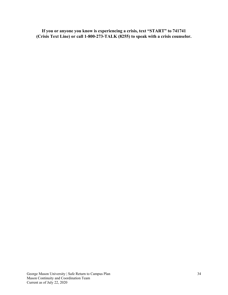**If you or anyone you know is experiencing a crisis, text "START" to 741741 (Crisis Text Line) or call 1-800-273-TALK (8255) to speak with a crisis counselor.**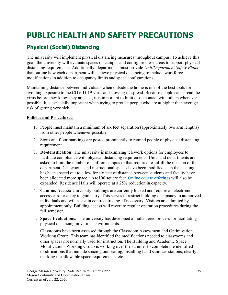# **PUBLIC HEALTH AND SAFETY PRECAUTIONS**

# <span id="page-39-0"></span>**Physical (Social) Distancing**

The university will implement physical distancing measures throughout campus. To achieve this goal, the university will evaluate spaces on campus and configure these areas to support physical distancing requirements. Additionally, departments must provide *Unit/Department Safety Plans* that outline how each department will achieve physical distancing to include workforce modifications in addition to occupancy limits and space configurations.

Maintaining distance between individuals when outside the home is one of the best tools for avoiding exposure to the COVID-19 virus and slowing its spread. Because people can spread the virus before they know they are sick, it is important to limit close contact with others whenever possible. It is especially important when trying to protect people who are at higher than average risk of getting very sick.

#### **Policies and Procedures:**

- 1. People must maintain a minimum of six feet separation (approximately two arm lengths) from other people whenever possible.
- 2. Signs and floor markings are posted prominently to remind people of physical distancing requirement.
- 3. **De-densification:** The university is maximizing telework options for employees to facilitate compliance with physical distancing requirements. Units and departments are asked to limit the number of staff on campus to that required to fulfill the mission of the department. Classrooms and instructional spaces have been modified such that seating has been spaced out to allow for six feet of distance between students and faculty have been allocated more space, up to100 square feet. [Online course](#page-50-0) offerings will also be expanded. Residence Halls will operate at a 25% reduction in capacity.
- 4. **Campus Access:** University buildings are currently locked and require an electronic access card or a key to gain entry. This serves to restrict building occupancy to authorized individuals and will assist in contract tracing, if necessary. Visitors are admitted by appointment only. Building access will revert to regular operation procedures during the fall semester.
- 5. **Space Evaluations:** The university has developed a multi-tiered process for facilitating physical distancing in various environments.

Classrooms have been assessed through the Classroom Assessment and Optimization Working Group. This team has identified the modifications needed to classrooms and other spaces not normally used for instruction. The Building and Academic Space Modifications Working Group is working over the summer to complete the identified modifications that include spacing out seating, installing hand sanitizer stations, clearly marking the allowable space requirements, etc.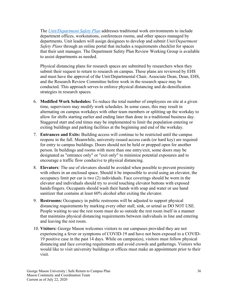The *[Unit/Department Safety Plan](#page-14-0)* addresses traditional work environments to include department offices, workstations, conferences rooms, and other spaces managed by departments. Unit leaders will assign designees to develop and submit *Unit/Department Safety Plans* through an online portal that includes a requirements checklist for spaces that their unit manages. The Department Safety Plan Review Working Group is available to assist departments as needed.

Physical distancing plans for research spaces are submitted by researchers when they submit their request to return to research on campus. These plans are reviewed by EHS and must have the approval of the Unit/Departmental Chair, Associate Dean, Dean, EHS, and the Research Review Committee before work in the research space may be conducted. This approach serves to enforce physical distancing and de-densification strategies in research spaces.

- 6. **Modified Work Schedules:** To reduce the total number of employees on site at a given time, supervisors may modify work schedules. In some cases, this may result in alternating on campus workdays with other team members or splitting up the workday to allow for shifts starting earlier and ending later than done in a traditional business day. Staggered start and end times may be implemented to limit the population entering or exiting buildings and parking facilities at the beginning and end of the workday.
- 7. **Entrances and Exits:** Building access will continue to be restricted until the campus reopens in the fall. Meanwhile, university-issued access cards (or hard key) are required for entry to campus buildings. Doors should not be held or propped open for another person. In buildings and rooms with more than one entry/exit, some doors may be designated as "entrance only" or "exit only" to minimize potential exposures and to encourage a traffic flow conducive to physical distancing.
- 8. **Elevators**: The use of elevators should be avoided when possible to prevent proximity with others in an enclosed space. Should it be impossible to avoid using an elevator, the occupancy limit per car is two (2) individuals. Face coverings should be worn in the elevator and individuals should try to avoid touching elevator buttons with exposed hands/fingers. Occupants should wash their hands with soap and water or use hand sanitizer that contains at least 60% alcohol after exiting the elevator.
- 9. **Restrooms:** Occupancy in public restrooms will be adjusted to support physical distancing requirements by marking every other stall, sink, or urinal as DO NOT USE. People waiting to use the rest room must do so outside the rest room itself in a manner that maintains physical distancing requirements between individuals in line and entering and leaving the rest room.
- 10. **Visitors:** George Mason welcomes visitors to our campuses provided they are not experiencing a fever or symptoms of COVID-19 and have not been exposed to a COVID-19 positive case in the past 14 days. While on campus(es), visitors must follow physical distancing and face covering requirements and avoid crowds and gatherings. Visitors who would like to visit university buildings or offices must make an appointment prior to their visit.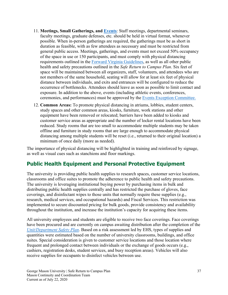- 11. **Meetings, Small Gatherings, and [Events](#page-65-0)**: Staff meetings, departmental seminars, faculty meetings, graduate defenses, etc. should be held in virtual format, whenever possible. When in-person gatherings are required, the gatherings must be as short in duration as feasible, with as few attendees as necessary and must be restricted from general public access. Meetings, gatherings, and events must not exceed 50% occupancy of the space in use or 150 participants, and must comply with physical distancing requirements outlined in the [Forward Virginia Guidelines,](https://www.virginia.gov/coronavirus/forwardvirginia/) as well as all other public health and safety precautions outlined in the *Safe Return to Campus Plan*. Six feet of space will be maintained between all organizers, staff, volunteers, and attendees who are not members of the same household, seating will allow for at least six feet of physical distance between individuals, and exits and entrances will be configured to reduce the occurrence of bottlenecks. Attendees should leave as soon as possible to limit contact and exposure. In addition to the above, events (including athletic events, conferences, ceremonies, and performances) must be approved by the Events [Exception Committee.](#page-65-0)
- 12. **Common Areas:** To promote physical distancing in atriums, lobbies, student centers, study spaces and other common areas, kiosks, furniture, work stations and other equipment have been removed or relocated; barriers have been added to kiosks and customer service areas as appropriate and the number of locker rental locations have been reduced. Study rooms that are too small to accommodate multiple students may be taken offline and furniture in study rooms that are large enough to accommodate physical distancing among multiple students will be reset (i.e., returned to their original location) a minimum of once daily (more as needed).

The importance of physical distancing will be highlighted in training and reinforced by signage, as well as visual cues such as stanchions and floor markings.

# **Public Health Equipment and Personal Protective Equipment**

The university is providing public health supplies to research spaces, customer service locations, classrooms and office suites to promote the adherence to public health and safety precautions. The university is leveraging institutional buying power by purchasing items in bulk and distributing public health supplies centrally and has restricted the purchase of gloves, face coverings, and disinfectant wipes to those units that normally require these supplies (e.g., research, medical services, and occupational hazards) and Fiscal Services. This restriction was implemented to secure discounted pricing for bulk goods, provide consistency and availability throughout the institution, and increase the institution's capacity for acquiring these items.

All university employees and students are eligible to receive two face coverings. Face coverings have been procured and are currently on campus awaiting distribution after the completion of the *[Unit/Department Safety Plan](#page-14-0)*. Based on a risk assessment led by EHS, types of supplies and quantities were estimated based on the number of university classrooms, buildings, and office suites. Special consideration is given to customer service locations and those location where frequent and prolonged contact between individuals or the exchange of goods occurs (e.g., cashiers, registration desks, student services, and busy reception areas). Vehicles will also receive supplies for occupants to disinfect vehicles between use.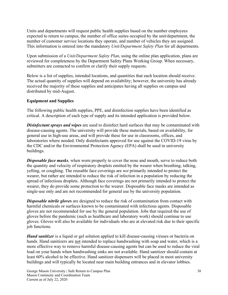Units and departments will request public health supplies based on the number employees expected to return to campus, the number of office suites occupied by the unit/department, the number of customer service locations they operate, and number of vehicles they are assigned. This information is entered into the mandatory *Unit/Department Safety Plan* for all departments.

Upon submission of a *Unit/Department Safety Plan*, using the online plan application, plans are reviewed for completeness by the Department Safety Plans Working Group. When necessary, submitters are contacted to confirm or clarify their supply requests.

Below is a list of supplies, intended locations, and quantities that each location should receive. The actual quantity of supplies will depend on availability; however, the university has already received the majority of these supplies and anticipates having all supplies on campus and distributed by mid-August.

#### **Equipment and Supplies**

The following public health supplies, PPE, and disinfection supplies have been identified as critical. A description of each type of supply and its intended application is provided below.

*Disinfectant sprays and wipes* are used to disinfect hard surfaces that may be contaminated with disease-causing agents. The university will provide these materials, based on availability, for general use in high-use areas, and will provide these for use in classrooms, offices, and laboratories where needed. Only disinfectants approved for use against the COVID-19 virus by the CDC and/or the Environmental Protection Agency (EPA) shall be used in university buildings.

*Disposable face masks,* when worn properly to cover the nose and mouth, serve to reduce both the quantity and velocity of respiratory droplets emitted by the wearer when breathing, talking, yelling, or coughing. The reusable face coverings are *not* primarily intended to protect the wearer, but rather are intended to reduce the risk of infection in a population by reducing the spread of infectious droplets. Although face coverings are not primarily intended to protect the wearer, they do provide some protection to the wearer. Disposable face masks are intended as single-use only and are not recommended for general use by the university population.

*Disposable nitrile gloves* are designed to reduce the risk of contamination from contact with harmful chemicals or surfaces known to be contaminated with infectious agents. Disposable gloves are not recommended for use by the general population. Jobs that required the use of gloves before the pandemic (such as healthcare and laboratory work) should continue to use gloves. Gloves will also be available for individuals who are at elevated risk due to their specific job functions.

*Hand sanitizer* is a liquid or gel solution applied to kill disease-causing viruses or bacteria on hands. Hand sanitizers are not intended to replace handwashing with soap and water, which is a more effective way to remove harmful disease-causing agents but can be used to reduce the viral load on your hands when handwashing sinks are not available. Hand sanitizer should contain at least 60% alcohol to be effective. Hand sanitizer dispensers will be placed in most university buildings and will typically be located near main building entrances and in elevator lobbies.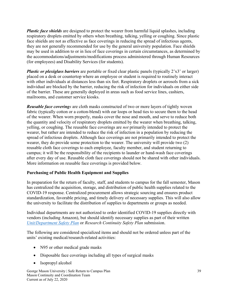*Plastic face shields* are designed to protect the wearer from harmful liquid splashes, including respiratory droplets emitted by others when breathing, talking, yelling or coughing. Since plastic face shields are not as effective as face coverings in reducing the spread of infectious agents, they are not generally recommended for use by the general university population. Face shields may be used in addition to or in lieu of face coverings in certain circumstances, as determined by the accommodations/adjustments/modifications process administered through Human Resources (for employees) and Disability Services (for students).

*Plastic or plexiglass barriers* are portable or fixed clear plastic panels (typically 2'x3' or larger) placed on a desk or countertop where an employee or student is required to routinely interact with other individuals at distances less than six feet. Respiratory droplets or aerosols from a sick individual are blocked by the barrier, reducing the risk of infection for individuals on either side of the barrier. These are generally deployed in areas such as food service lines, cashiers, mailrooms, and customer service kiosks.

*Reusable face coverings* are cloth masks constructed of two or more layers of tightly woven fabric (typically cotton or a cotton-blend) with ear loops or head ties to secure them to the head of the wearer. When worn properly, masks cover the nose and mouth, and serve to reduce both the quantity and velocity of respiratory droplets emitted by the wearer when breathing, talking, yelling, or coughing. The reusable face coverings are *not* primarily intended to protect the wearer, but rather are intended to reduce the risk of infection in a population by reducing the spread of infectious droplets. Although face coverings are not primarily intended to protect the wearer, they do provide some protection to the wearer. The university will provide two (2) reusable cloth face coverings to each employee, faculty member, and student returning to campus; it will be the responsibility of the recipients to launder or hand-wash face coverings after every day of use. Reusable cloth face coverings should not be shared with other individuals. More information on reusable face coverings is provided below.

#### **Purchasing of Public Health Equipment and Supplies**

In preparation for the return of faculty, staff, and students to campus for the fall semester, Mason has centralized the acquisition, storage, and distribution of public health supplies related to the COVID-19 response. Centralized procurement allows strategic sourcing and ensures product standardization, favorable pricing, and timely delivery of necessary supplies. This will also allow the university to facilitate the distribution of supplies to departments or groups as needed.

Individual departments are not authorized to order identified COVID-19 supplies directly with vendors (including Amazon), but should identify necessary supplies as part of their written *[Unit/Department Safety Plan](#page-14-0)* or *Research Continuity Safety Plan* submission.

The following are considered specialized items and should not be ordered unless part of the units' existing medical/research-related activities:

- N95 or other medical grade masks
- Disposable face coverings including all types of surgical masks
- Isopropyl alcohol

George Mason University | Safe Return to Campus Plan Mason Continuity and Coordination Team Current as of July 22, 2020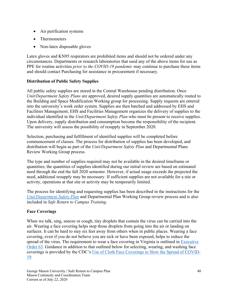- Air purification systems
- Thermometers
- Non-latex disposable gloves

Latex gloves and KN95 respirators are prohibited items and should not be ordered under any circumstances. Departments or research laboratories that used any of the above items for use as PPE for routine activities *prior to the COVID-19 pandemic* may continue to purchase these items and should contact Purchasing for assistance in procurement if necessary.

#### **Distribution of Public Safety Supplies**

All public safety supplies are stored in the Central Warehouse pending distribution. Once *Unit/Department Safety Plans* are approved, desired supply quantities are automatically routed to the Building and Space Modification Working group for processing. Supply requests are entered into the university's work order system. Supplies are then batched and addressed by EHS and Facilities Management; EHS and Facilities Management organizes the delivery of supplies to the individual identified in the *Unit/Department Safety Plan* who must be present to receive supplies. Upon delivery, supply distribution and consumption become the responsibility of the recipient. The university will assess the possibility of resupply in September 2020.

Selection, purchasing and fulfillment of identified supplies will be completed before commencement of classes. The process for distribution of supplies has been developed, and distribution will begin as part of the *Unit/Department Safety Plan* and Departmental Plans Review Working Group process.

The type and number of supplies required may not be available in the desired timeframe or quantities; the quantities of supplies identified during our initial review are based on estimated need through the end the fall 2020 semester. However, if actual usage exceeds the projected the need, additional resupply may be necessary. If sufficient supplies are not available for a site or activity, operations at that site or activity may be temporarily limited.

The process for identifying and requesting supplies has been described in the instructions for the *[Unit/Department Safety Plan](#page-14-0)* and Departmental Plan Working Group review process and is also included in *Safe Return to Campus Training*.

# **Face Coverings**

When we talk, sing, sneeze or cough, tiny droplets that contain the virus can be carried into the air. Wearing a face covering helps stop those droplets from going into the air or landing on surfaces. It can be hard to stay six feet away from others when in public places. Wearing a face covering, even if you do not believe you are sick or have been exposed, helps to reduce the spread of the virus. The requirement to wear a face covering in Virginia is outlined in [Executive](https://www.governor.virginia.gov/media/governorvirginiagov/executive-actions/EO-63-and-Order-Of-Public-Health-Emergency-Five---Requirement-To-Wear-Face-Covering-While-Inside-Buildings.pdf)  [Order 63.](https://www.governor.virginia.gov/media/governorvirginiagov/executive-actions/EO-63-and-Order-Of-Public-Health-Emergency-Five---Requirement-To-Wear-Face-Covering-While-Inside-Buildings.pdf) Guidance in addition to that outlined below for selecting, wearing, and washing face coverings is provided by the CDC's [Use of Cloth Face Coverings to Slow the Spread of COVID-](https://www.cdc.gov/coronavirus/2019-ncov/prevent-getting-sick/diy-cloth-face-coverings.html)[19.](https://www.cdc.gov/coronavirus/2019-ncov/prevent-getting-sick/diy-cloth-face-coverings.html)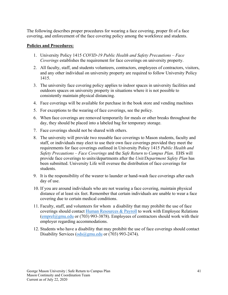The following describes proper procedures for wearing a face covering, proper fit of a face covering, and enforcement of the face covering policy among the workforce and students.

#### **Policies and Procedures:**

- 1. University Policy 1415 *COVID-19 Public Health and Safety Precautions – Face Coverings* establishes the requirement for face coverings on university property.
- 2. All faculty, staff, and students volunteers, contractors, employees of contractors, visitors, and any other individual on university property are required to follow University Policy 1415.
- 3. The university face covering policy applies to indoor spaces in university facilities and outdoors spaces on university property in situations where it is not possible to consistently maintain physical distancing.
- 4. Face coverings will be available for purchase in the book store and vending machines
- 5. For exceptions to the wearing of face coverings, see the policy.
- 6. When face coverings are removed temporarily for meals or other breaks throughout the day, they should be placed into a labeled bag for temporary storage.
- 7. Face coverings should not be shared with others.
- 8. The university will provide two reusable face coverings to Mason students, faculty and staff, or individuals may elect to use their own face coverings provided they meet the requirements for face coverings outlined in University Policy 1415 *Public Health and Safety Precautions – Face Coverings* and the *Safe Return to Campus Plan*. EHS will provide face coverings to units/departments after the *Unit/Department Safety Plan* has been submitted. University Life will oversee the distribution of face coverings for students.
- 9. It is the responsibility of the wearer to launder or hand-wash face coverings after each day of use.
- 10. If you are around individuals who are not wearing a face covering, maintain physical distance of at least six feet. Remember that certain individuals are unable to wear a face covering due to certain medical conditions.
- 11. Faculty, staff, and volunteers for whom a disability that may prohibit the use of face coverings should contact Human [Resources](mailto:Human%20Resources%20&%20Payroll) & Payroll to work with Employee Relations  $(emprel@gmu.edu or (703) 993-3878)$  $(emprel@gmu.edu or (703) 993-3878)$ . Employees of contractors should work with their employer regarding accommodations.
- 12. Students who have a disability that may prohibit the use of face coverings should contact Disability Services  $(ods@gmu.edu or (703) 993-2474).$  $(ods@gmu.edu or (703) 993-2474).$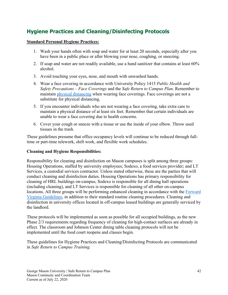# **Hygiene Practices and Cleaning/Disinfecting Protocols**

#### **Standard Personal Hygiene Practices:**

- 1. Wash your hands often with soap and water for at least 20 seconds, especially after you have been in a public place or after blowing your nose, coughing, or sneezing.
- 2. If soap and water are not readily available, use a hand sanitizer that contains at least 60% alcohol.
- 3. Avoid touching your eyes, nose, and mouth with unwashed hands.
- 4. Wear a face covering in accordance with University Policy 1415 *Public Health and Safety Precautions – Face Coverings* and the *Safe Return to Campus Plan*. Remember to maintain [physical distancing](#page-39-0) when wearing face coverings. Face coverings are not a substitute for physical distancing.
- 5. If you encounter individuals who are not wearing a face covering, take extra care to maintain a physical distance of at least six feet. Remember that certain individuals are unable to wear a face covering due to health concerns.
- 6. Cover your cough or sneeze with a tissue or use the inside of your elbow. Throw used tissues in the trash.

These guidelines presume that office occupancy levels will continue to be reduced through fulltime or part-time telework, shift work, and flexible work schedules.

#### **Cleaning and Hygiene Responsibilities:**

Responsibility for cleaning and disinfection on Mason campuses is split among three groups: Housing Operations, staffed by university employees; Sodexo, a food services provider; and LT Services, a custodial services contractor. Unless stated otherwise, these are the parties that will conduct cleaning and disinfection duties. Housing Operations has primary responsibility for cleaning of HRL buildings on-campus, Sodexo is responsible for all dining hall operations (including cleaning), and LT Services is responsible for cleaning of all other on-campus locations. All three groups will be performing enhanced cleaning in accordance with the [Forward](https://www.google.com/url?sa=t&rct=j&q=&esrc=s&source=web&cd=&ved=2ahUKEwi77OnmxZvqAhUuUt8KHd84CFoQFjAAegQIBBAB&url=https%3A%2F%2Fwww.governor.virginia.gov%2Fmedia%2Fgovernorvirginiagov%2Fgovernor-of-virginia%2Fpdf%2FVirginia-Forward-Phase-Three-Guidelines.pdf&usg=AOvVaw319dQ8-GU2-IwdlKgJIr5j)  [Virginia Guidelines,](https://www.google.com/url?sa=t&rct=j&q=&esrc=s&source=web&cd=&ved=2ahUKEwi77OnmxZvqAhUuUt8KHd84CFoQFjAAegQIBBAB&url=https%3A%2F%2Fwww.governor.virginia.gov%2Fmedia%2Fgovernorvirginiagov%2Fgovernor-of-virginia%2Fpdf%2FVirginia-Forward-Phase-Three-Guidelines.pdf&usg=AOvVaw319dQ8-GU2-IwdlKgJIr5j) in addition to their standard routine cleaning procedures. Cleaning and disinfection in university offices located in off-campus leased buildings are generally serviced by the landlord.

These protocols will be implemented as soon as possible for all occupied buildings, as the new Phase 2/3 requirements regarding frequency of cleaning for high-contact surfaces are already in effect. The classroom and Johnson Center dining table cleaning protocols will not be implemented until the food court reopens and classes begin.

These guidelines for Hygiene Practices and Cleaning/Disinfecting Protocols are communicated in *Safe Return to Campus Training.*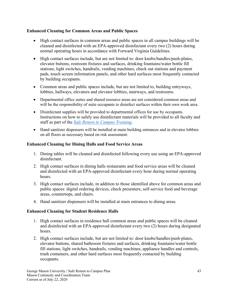#### **Enhanced Cleaning for Common Areas and Public Spaces**

- High contact surfaces in common areas and public spaces in all campus buildings will be cleaned and disinfected with an EPA-approved disinfectant every two (2) hours during normal operating hours in accordance with Forward Virginia Guidelines.
- High contact surfaces include, but are not limited to: door knobs/handles/push-plates, elevator buttons, restroom fixtures and surfaces, drinking fountains/water bottle fill stations, light switches, handrails, vending machines, check out stations and payment pads, touch screen information panels, and other hard surfaces most frequently contacted by building occupants.
- Common areas and public spaces include, but are not limited to, building entryways, lobbies, hallways, elevators and elevator lobbies, stairways, and restrooms.
- Departmental office suites and shared resource areas are not considered common areas and will be the responsibility of suite occupants to disinfect surfaces within their own work area.
- Disinfectant supplies will be provided to departmental offices for use by occupants. Instructions on how to safely use disinfectant materials will be provided to all faculty and staff as part of the *[Safe Return to Campus Training](https://shibboleth.gmu.edu/idp/profile/SAML2/Unsolicited/SSO?providerId=https%3A%2F%2Fgmu.csod.com&target=https://gmu.csod.com/ui/lms-learning-details/app/curriculum/a2489a5f-295e-4fc0-b8d4-1415a20693bf)*.
- Hand sanitizer dispensers will be installed at main building entrances and in elevator lobbies on all floors as necessary based on risk assessment.

#### **Enhanced Cleaning for Dining Halls and Food Service Areas**

- 1. Dining tables will be cleaned and disinfected following every use using an EPA-approved disinfectant.
- 2. High contact surfaces in dining halls restaurants and food service areas will be cleaned and disinfected with an EPA-approved disinfectant every hour during normal operating hours.
- 3. High contact surfaces include, in addition to those identified above for common areas and public spaces: digital ordering devices, check presenters, self-service food and beverage areas, countertops, and chairs.
- 4. Hand sanitizer dispensers will be installed at main entrances to dining areas.

#### **Enhanced Cleaning for Student Residence Halls**

- 1. High contact surfaces in residence hall common areas and public spaces will be cleaned and disinfected with an EPA-approved disinfectant every two (2) hours during designated hours.
- 2. High contact surfaces include, but are not limited to: door knobs/handles/push-plates, elevator buttons, shared bathroom fixtures and surfaces, drinking fountains/water bottle fill stations, light switches, handrails, vending machines, appliance handles and controls, trash containers, and other hard surfaces most frequently contacted by building occupants.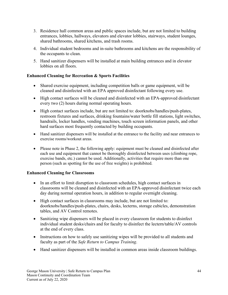- 3. Residence hall common areas and public spaces include, but are not limited to building entrances, lobbies, hallways, elevators and elevator lobbies, stairways, student lounges, shared bathrooms, shared kitchens, and trash rooms.
- 4. Individual student bedrooms and in-suite bathrooms and kitchens are the responsibility of the occupants to clean.
- 5. Hand sanitizer dispensers will be installed at main building entrances and in elevator lobbies on all floors.

# **Enhanced Cleaning for Recreation & Sports Facilities**

- Shared exercise equipment, including competition balls or game equipment, will be cleaned and disinfected with an EPA approved disinfectant following every use.
- High contact surfaces will be cleaned and disinfected with an EPA-approved disinfectant every two (2) hours during normal operating hours.
- High contact surfaces include, but are not limited to: doorknobs/handles/push-plates, restroom fixtures and surfaces, drinking fountains/water bottle fill stations, light switches, handrails, locker handles, vending machines, touch screen information panels, and other hard surfaces most frequently contacted by building occupants.
- Hand sanitizer dispensers will be installed at the entrance to the facility and near entrances to exercise rooms/workout areas.
- Please note in Phase 2, the following apply: equipment must be cleaned and disinfected after each use and equipment that cannot be thoroughly disinfected between uses (climbing rope, exercise bands, etc.) cannot be used. Additionally, activities that require more than one person (such as spotting for the use of free weights) is prohibited.

# **Enhanced Cleaning for Classrooms**

- In an effort to limit disruption to classroom schedules, high contact surfaces in classrooms will be cleaned and disinfected with an EPA-approved disinfectant twice each day during normal operation hours, in addition to regular overnight cleaning.
- High contact surfaces in classrooms may include, but are not limited to: doorknobs/handles/push-plates, chairs, desks, lecterns, storage cubicles, demonstration tables, and AV Control remotes.
- Sanitizing wipe dispensers will be placed in every classroom for students to disinfect individual student desks/chairs and for faculty to disinfect the lectern/table/AV controls at the end of every class.
- Instructions on how to safely use sanitizing wipes will be provided to all students and faculty as part of the *Safe Return to Campus Training*.
- Hand sanitizer dispensers will be installed in common areas inside classroom buildings.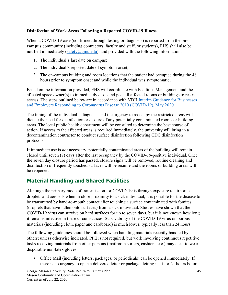# **Disinfection of Work Areas Following a Reported COVID-19 Illness**

When a COVID-19 case (confirmed through testing or diagnosis) is reported from the **oncampus** community (including contractors, faculty and staff, or students), EHS shall also be notified immediately [\(safety@gmu.edu\)](mailto:safety@gmu.edu), and provided with the following information:

- 1. The individual's last date on campus;
- 2. The individual's reported date of symptom onset;
- 3. The on-campus building and room locations that the patient had occupied during the 48 hours prior to symptom onset and while the individual was symptomatic;

Based on the information provided, EHS will coordinate with Facilities Management and the affected space owner(s) to immediately close and post all affected rooms or buildings to restrict access. The steps outlined below are in accordance with VDH [Interim Guidance for Businesses](https://www.cdc.gov/coronavirus/2019-ncov/community/guidance-business-response.html)  [and Employers Responding to Coronavirus Disease 2019 \(COVID-19\), May](https://www.cdc.gov/coronavirus/2019-ncov/community/guidance-business-response.html) 2020.

The timing of the individual's diagnosis and the urgency to reoccupy the restricted areas will dictate the need for disinfection or closure of any potentially contaminated rooms or building areas. The local public health department will be consulted to determine the best course of action. If access to the affected areas is required immediately, the university will bring in a decontamination contractor to conduct surface disinfection following CDC disinfection protocols.

If immediate use is *not* necessary, potentially contaminated areas of the building will remain closed until seven (7) days after the last occupancy by the COVID-19-positive individual. Once the seven day closure period has passed, closure signs will be removed, routine cleaning and disinfection of frequently touched surfaces will be resume and the rooms or building areas will be reopened.

# **Material Handling and Shared Facilities**

Although the primary mode of transmission for COVID-19 is through exposure to airborne droplets and aerosols when in close proximity to a sick individual, it is possible for the disease to be transmitted by hand-to-mouth contact after touching a surface contaminated with fomites (droplets that have fallen onto surfaces) from a sick individual. Studies have shown that the COVID-19 virus can survive on hard surfaces for up to seven days, but it is not known how long it remains infective in these circumstances. Survivability of the COVID-19 virus on porous materials (including cloth, paper and cardboard) is much lower, typically less than 24 hours.

The following guidelines should be followed when handling materials recently handled by others; unless otherwise indicated, PPE is not required, but work involving continuous repetitive tasks receiving materials from other persons (mailroom sorters, cashiers, etc.) may elect to wear disposable non-latex gloves.

• Office Mail (including letters, packages, or periodicals) can be opened immediately. If there is no urgency to open a delivered letter or package, letting it sit for 24 hours before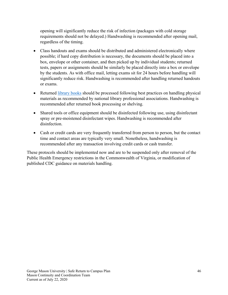opening will significantly reduce the risk of infection (packages with cold storage requirements should not be delayed.) Handwashing is recommended after opening mail, regardless of the timing.

- Class handouts and exams should be distributed and administered electronically where possible; if hard copy distribution is necessary, the documents should be placed into a box, envelope or other container, and then picked up by individual students; returned tests, papers or assignments should be similarly be placed directly into a box or envelope by the students. As with office mail, letting exams sit for 24 hours before handling will significantly reduce risk. Handwashing is recommended after handling returned handouts or exams.
- Returned [library books](#page-63-0) should be processed following best practices on handling physical materials as recommended by national library professional associations. Handwashing is recommended after returned book processing or shelving.
- Shared tools or office equipment should be disinfected following use, using disinfectant spray or pre-moistened disinfectant wipes. Handwashing is recommended after disinfection.
- <span id="page-50-0"></span>• Cash or credit cards are very frequently transferred from person to person, but the contact time and contact areas are typically very small. Nonetheless, handwashing is recommended after any transaction involving credit cards or cash transfer.

These protocols should be implemented now and are to be suspended only after removal of the Public Health Emergency restrictions in the Commonwealth of Virginia, or modification of published CDC guidance on materials handling.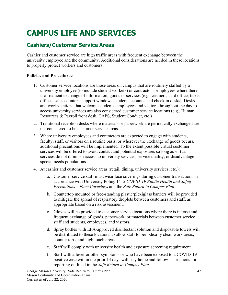# **CAMPUS LIFE AND SERVICES**

# **Cashiers/Customer Service Areas**

Cashier and customer service are high traffic areas with frequent exchange between the university employee and the community. Additional considerations are needed in these locations to properly protect workers and customers.

#### **Policies and Procedures:**

- 1. Customer service locations are those areas on campus that are routinely staffed by a university employee (to include student workers) or contractor's employees where there is a frequent exchange of information, goods or services (e.g., cashiers, card office, ticket offices, sales counters, support windows, student accounts, and check in desks). Desks and works stations that welcome students, employees and visitors throughout the day to access university services are also considered customer service locations (e.g., Human Resources & Payroll front desk, CAPS, Student Conduct, etc.)
- 2. Traditional reception desks where materials or paperwork are periodically exchanged are not considered to be customer service areas.
- 3. Where university employees and contractors are expected to engage with students, faculty, staff, or visitors on a routine basis, or wherever the exchange of goods occurs, additional precautions will be implemented. To the extent possible virtual customer services will be offered to avoid contact and potential exposures so long as virtual services do not diminish access to university services, service quality, or disadvantage special needs populations.
- 4. At cashier and customer service areas (retail, dining, university services, etc.):
	- a. Customer service staff must wear face coverings during customer transactions in accordance with University Policy 1415 *COVID-19 Public Health and Safety Precautions – Face Coverings* and the *Safe Return to Campus Plan*.
	- b. Countertop mounted or free-standing plastic/plexiglass barriers will be provided to mitigate the spread of respiratory droplets between customers and staff, as appropriate based on a risk assessment.
	- c. Gloves will be provided to customer service locations where there is intense and frequent exchange of goods, paperwork, or materials between customer service staff and students, employees, and visitors.
	- d. Spray bottles with EPA-approved disinfectant solution and disposable towels will be distributed to these locations to allow staff to periodically clean work areas, counter tops, and high touch areas.
	- e. Staff will comply with university health and exposure screening requirement.
	- f. Staff with a fever or other symptoms or who have been exposed to a COVID-19 positive case within the prior 14 days will stay home and follow instructions for reporting outlined in the *Safe Return to Campus Plan*.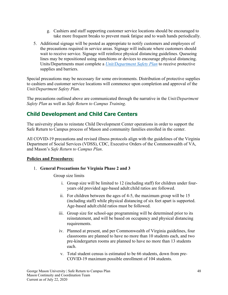- g. Cashiers and staff supporting customer service locations should be encouraged to take more frequent breaks to prevent mask fatigue and to wash hands periodically.
- 5. Additional signage will be posted as appropriate to notify customers and employees of the precautions required in service areas. Signage will indicate where customers should wait to receive service. Signage will reinforce physical distancing guidelines. Queueing lines may be repositioned using stanchions or devices to encourage physical distancing. Units/Departments must complete a *[Unit/Department Safety Plan](#page-14-0)* to receive protective supplies and barriers.

Special precautions may be necessary for some environments. Distribution of protective supplies to cashiers and customer service locations will commence upon completion and approval of the *Unit/Department Safety Plan*.

The precautions outlined above are communicated through the narrative in the *Unit/Department Safety Plan* as well as *Safe Return to Campus Training*.

# **Child Development and Child Care Centers**

The university plans to reinstate Child Development Center operations in order to support the Safe Return to Campus process of Mason and community families enrolled in the center.

All COVID-19 precautions and revised illness protocols align with the guidelines of the Virginia Department of Social Services (VDSS), CDC, Executive Orders of the Commonwealth of VA, and Mason's *Safe Return to Campus Plan*.

# **Policies and Procedures:**

# 1. **General Precautions for Virginia Phase 2 and 3**

Group size limits

- i. Group size will be limited to 12 (including staff) for children under fouryears old provided age-based adult:child ratios are followed.
- ii. For children between the ages of 4-5, the maximum group will be 15 (including staff) while physical distancing of six feet apart is supported. Age-based adult:child ratios must be followed.
- iii. Group size for school-age programming will be determined prior to its reinstatement, and will be based on occupancy and physical distancing requirements.
- iv. Planned at present, and per Commonwealth of Virginia guidelines, four classrooms are planned to have no more than 10 students each, and two pre-kindergarten rooms are planned to have no more than 13 students each.
- v. Total student census is estimated to be 66 students, down from pre-COVID-19 maximum possible enrollment of 104 students.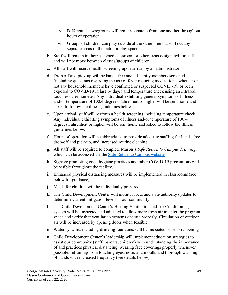- vi. Different classes/groups will remain separate from one another throughout hours of operation.
- vii. Groups of children can play outside at the same time but will occupy separate areas of the outdoor play space.
- b. Staff will remain in their assigned classroom or other areas designated for staff, and will not move between classes/groups of children.
- c. All staff will receive health screening upon arrival by an administrator.
- d. Drop off and pick-up will be hands-free and all family members screened (including questions regarding the use of fever reducing medications, whether or not any household members have confirmed or suspected COVID-19, or been exposed to COVID-19 in last 14 days) and temperature check using an infrared, touchless thermometer. Any individual exhibiting general symptoms of illness and/or temperature of 100.4 degrees Fahrenheit or higher will be sent home and asked to follow the illness guidelines below.
- e. Upon arrival, staff will perform a health screening including temperature check. Any individual exhibiting symptoms of illness and/or temperature of 100.4 degrees Fahrenheit or higher will be sent home and asked to follow the illness guidelines below.
- f. Hours of operation will be abbreviated to provide adequate staffing for hands-free drop-off and pick-up, and increased routine cleaning.
- g. All staff will be required to complete Mason's *Safe Return to Campus Training*, which can be accessed via the [Safe Return to Campus website](https://www2.gmu.edu/Safe-Return-Campus)
- h. Signage promoting good hygiene practices and other COVID-19 precautions will be visible throughout the facility.
- i. Enhanced physical distancing measures will be implemented in classrooms (see below for guidance).
- j. Meals for children will be individually prepared.
- k. The Child Development Center will monitor local and state authority updates to determine current mitigation levels in our community.
- l. The Child Development Center's Heating Ventilation and Air Conditioning system will be inspected and adjusted to allow more fresh air to enter the program space and verify that ventilation systems operate properly. Circulation of outdoor air will be increased by opening doors when feasible.
- m. Water systems, including drinking fountains, will be inspected prior to reopening.
- n. Child Development Center's leadership will implement education strategies to assist our community (staff, parents, children) with understanding the importance of and practices physical distancing, wearing face coverings properly whenever possible, refraining from touching eyes, nose, and mouth, and thorough washing of hands with increased frequency (see details below).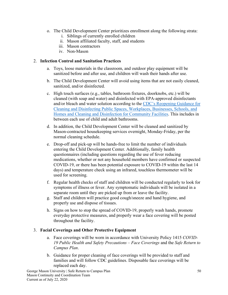- o. The Child Development Center prioritizes enrollment along the following strata:
	- i. Siblings of currently enrolled children
	- ii. Mason affiliated faculty, staff, and students
	- iii. Mason contractors
	- iv. Non-Mason

#### 2. **Infection Control and Sanitation Practices**

- a. Toys, loose materials in the classroom, and outdoor play equipment will be sanitized before and after use, and children will wash their hands after use.
- b. The Child Development Center will avoid using items that are not easily cleaned, sanitized, and/or disinfected.
- c. High touch surfaces (e.g., tables, bathroom fixtures, doorknobs, etc.) will be cleaned (with soap and water) and disinfected with EPA-approved disinfectants and/or bleach and water solution according to the [CDC's Reopening Guidance for](https://www.cdc.gov/coronavirus/2019-ncov/community/reopen-guidance.html)  [Cleaning and Disinfecting Public Spaces, Workplaces, Businesses, Schools, and](https://www.cdc.gov/coronavirus/2019-ncov/community/reopen-guidance.html)  [Homes and Cleaning and Disinfection for Community Facilities.](https://www.cdc.gov/coronavirus/2019-ncov/community/reopen-guidance.html) This includes in between each use of child and adult bathrooms.
- d. In addition, the Child Development Center will be cleaned and sanitized by Mason-contracted housekeeping services overnight, Monday-Friday, per the normal cleaning schedule.
- e. Drop-off and pick-up will be hands-free to limit the number of individuals entering the Child Development Center. Additionally, family health questionnaires (including questions regarding the use of fever reducing medications, whether or not any household members have confirmed or suspected COVID-19, or there has been potential exposure to COVID-19 within the last 14 days) and temperature check using an infrared, touchless thermometer will be used for screening.
- f. Regular health checks of staff and children will be conducted regularly to look for symptoms of illness or fever. Any symptomatic individuals will be isolated in a separate room until they are picked up from or leave the facility.
- g. Staff and children will practice good cough/sneeze and hand hygiene, and properly use and dispose of tissues.
- h. Signs on how to stop the spread of COVID-19, properly wash hands, promote everyday protective measures, and properly wear a face covering will be posted throughout the facility.

# 3. **Facial Coverings and Other Protective Equipment**

- a. Face coverings will be worn in accordance with University Policy 1415 *COVID-19 Public Health and Safety Precautions – Face Coverings* and the *Safe Return to Campus Plan*.
- b. Guidance for proper cleaning of face coverings will be provided to staff and families and will follow CDC guidelines. Disposable face coverings will be replaced each day.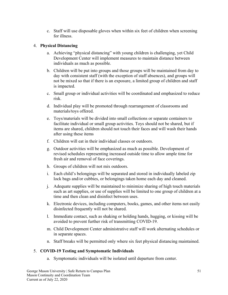c. Staff will use disposable gloves when within six feet of children when screening for illness.

#### 4. **Physical Distancing**

- a. Achieving "physical distancing" with young children is challenging, yet Child Development Center will implement measures to maintain distance between individuals as much as possible.
- b. Children will be put into groups and those groups will be maintained from day to day with consistent staff (with the exception of staff absences), and groups will not be mixed so that if there is an exposure, a limited group of children and staff is impacted.
- c. Small group or individual activities will be coordinated and emphasized to reduce risk.
- d. Individual play will be promoted through rearrangement of classrooms and materials/toys offered.
- e. Toys/materials will be divided into small collections or separate containers to facilitate individual or small group activities. Toys should not be shared, but if items are shared, children should not touch their faces and will wash their hands after using these items
- f. Children will eat in their individual classes or outdoors.
- g. Outdoor activities will be emphasized as much as possible. Development of revised schedules representing increased outside time to allow ample time for fresh air and removal of face coverings.
- h. Groups of children will not mix outdoors.
- i. Each child's belongings will be separated and stored in individually labeled zip lock bags and/or cubbies, or belongings taken home each day and cleaned.
- j. Adequate supplies will be maintained to minimize sharing of high touch materials such as art supplies, or use of supplies will be limited to one group of children at a time and then clean and disinfect between uses.
- k. Electronic devices, including computers, books, games, and other items not easily disinfected frequently will not be shared.
- l. Immediate contact, such as shaking or holding hands, hugging, or kissing will be avoided to prevent further risk of transmitting COVID-19.
- m. Child Development Center administrative staff will work alternating schedules or in separate spaces.
- n. Staff breaks will be permitted only where six feet physical distancing maintained.

#### 5. **COVID-19 Testing and Symptomatic Individuals**

a. Symptomatic individuals will be isolated until departure from center.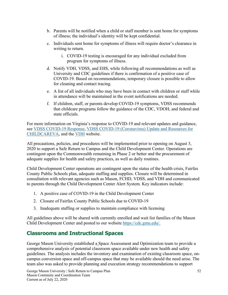- b. Parents will be notified when a child or staff member is sent home for symptoms of illness; the individual's identity will be kept confidential.
- c. Individuals sent home for symptoms of illness will require doctor's clearance in writing to return.
	- i. COVID-19 testing is encouraged for any individual excluded from program for symptoms of illness.
- d. Notify VDH, VDSS, and EHS, while following all recommendations as well as University and CDC guidelines if there is confirmation of a positive case of COVID-19. Based on recommendations, temporary closure is possible to allow for cleaning and contact tracing.
- e. A list of all individuals who may have been in contact with children or staff while in attendance will be maintained in the event notifications are needed.
- f. If children, staff, or parents develop COVID-19 symptoms, VDSS recommends that childcare programs follow the guidance of the CDC, VDOH, and federal and state officials.

For more information on Virginia's response to COVID-19 and relevant updates and guidance, see [VDSS COVID-19 Response,](https://www.dss.virginia.gov/geninfo/covid.cgi) [VDSS COVID-19 \(Coronavirus\) Update and Resources for](https://www.dss.virginia.gov/cc/covid-19.html)  [CHILDCAREVA,](https://www.dss.virginia.gov/cc/covid-19.html) and the [VDH](https://www.vdh.virginia.gov/) website.

All precautions, policies, and procedures will be implemented prior to opening on August 3, 2020 to support a Safe Return to Campus and the Child Development Center. Operations are contingent upon the Commonwealth remaining in Phase 2 or better and the procurement of adequate supplies for health and safety practices, as well as daily routines.

Child Development Center operations are contingent upon the status of the health crisis, Fairfax County Public Schools plan, adequate staffing and supplies. Closure will be determined in consultation with relevant agencies such as Mason, FCHD, VDSS, and VDH and communicated to parents through the Child Development Center Alert System. Key indicators include:

- 1. A positive case of COVID-19 in the Child Development Center
- 2. Closure of Fairfax County Public Schools due to COVID-19
- 3. Inadequate staffing or supplies to maintain compliance with licensing

All guidelines above will be shared with currently enrolled and wait list families of the Mason Child Development Center and posted to our website [https://cdc.gmu.edu/.](https://cdc.gmu.edu/)

# **Classrooms and Instructional Spaces**

George Mason University established a Space Assessment and Optimization team to provide a comprehensive analysis of potential classroom space available under new health and safety guidelines. The analysis includes the inventory and examination of existing classroom space, oncampus conversion space and off-campus space that may be available should the need arise. The team also was asked to provide planning and execution strategy recommendations to support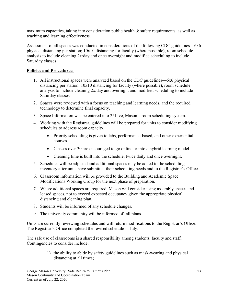maximum capacities, taking into consideration public health & safety requirements, as well as teaching and learning effectiveness.

Assessment of all spaces was conducted in considerations of the following CDC guidelines—6x6 physical distancing per station; 10x10 distancing for faculty (where possible), room schedule analysis to include cleaning 2x/day and once overnight and modified scheduling to include Saturday classes.

#### **Policies and Procedures:**

- 1. All instructional spaces were analyzed based on the CDC guidelines—6x6 physical distancing per station; 10x10 distancing for faculty (where possible), room schedule analysis to include cleaning 2x/day and overnight and modified scheduling to include Saturday classes.
- 2. Spaces were reviewed with a focus on teaching and learning needs, and the required technology to determine final capacity.
- 3. Space Information was be entered into 25Live, Mason's room scheduling system.
- 4. Working with the Registrar, guidelines will be prepared for units to consider modifying schedules to address room capacity.
	- Priority scheduling is given to labs, performance-based, and other experiential courses.
	- Classes over 30 are encouraged to go online or into a hybrid learning model.
	- Cleaning time is built into the schedule, twice daily and once overnight.
- 5. Schedules will be adjusted and additional spaces may be added to the scheduling inventory after units have submitted their scheduling needs and to the Registrar's Office.
- 6. Classroom information will be provided to the Building and Academic Space Modifications Working Group for the next phase of preparation.
- 7. Where additional spaces are required, Mason will consider using assembly spaces and leased spaces, not to exceed expected occupancy given the appropriate physical distancing and cleaning plan.
- 8. Students will be informed of any schedule changes.
- 9. The university community will be informed of fall plans.

Units are currently reviewing schedules and will return modifications to the Registrar's Office. The Registrar's Office completed the revised schedule in July.

The safe use of classrooms is a shared responsibility among students, faculty and staff. Contingencies to consider include:

> 1) the ability to abide by safety guidelines such as mask-wearing and physical distancing at all times;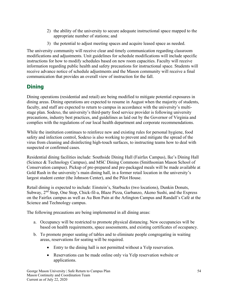- 2) the ability of the university to secure adequate instructional space mapped to the appropriate number of stations; and
- 3) the potential to adjust meeting spaces and acquire leased space as needed.

The university community will receive clear and timely communication regarding classroom modifications and adjustments. Unit guidelines for schedule modifications will include specific instructions for how to modify schedules based on new room capacities. Faculty will receive information regarding public health and safety precautions for instructional space. Students will receive advance notice of schedule adjustments and the Mason community will receive a final communication that provides an overall view of instruction for the fall.

# **Dining**

Dining operations (residential and retail) are being modified to mitigate potential exposures in dining areas. Dining operations are expected to resume in August when the majority of students, faculty, and staff are expected to return to campus in accordance with the university's multistage plan. Sodexo, the university's third-party food service provider is following university precautions, industry best practices, and guidelines as laid out by the Governor of Virginia and complies with the regulations of our local health department and corporate recommendations.

While the institution continues to reinforce new and existing rules for personal hygiene, food safety and infection control, Sodexo is also working to prevent and mitigate the spread of the virus from cleaning and disinfecting high-touch surfaces, to instructing teams how to deal with suspected or confirmed cases.

Residential dining facilities include: Southside Dining Hall (Fairfax Campus), Ike's Dining Hall (Science & Technology Campus), and MSC Dining Commons (Smithsonian Mason School of Conservation campus). Pickup of pre-prepared and pre-packaged meals will be made available at Gold Rush in the university's main dining hall, in a former retail location in the university's largest student center (the Johnson Center), and the Pilot House.

Retail dining is expected to include: Einstein's, Starbucks (two locations), Dunkin Donuts, Subway, 2<sup>nd</sup> Stop, One Stop, Chick-fil-a, Blaze Pizza, Garbanzo, Akeno Sushi, and the Express on the Fairfax campus as well as Au Bon Pain at the Arlington Campus and Randall's Café at the Science and Technology campus.

The following precautions are being implemented in all dining areas:

- a. Occupancy will be restricted to promote physical distancing. New occupancies will be based on health requirements, space assessments, and existing certificates of occupancy.
- b. To promote proper seating of tables and to eliminate people congregating in waiting areas, reservations for seating will be required.
	- Entry to the dining hall is not permitted without a Yelp reservation.
	- Reservations can be made online only via Yelp reservation website or applications.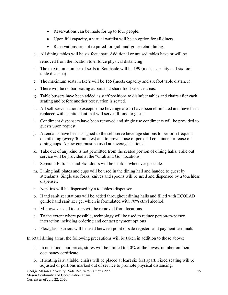- Reservations can be made for up to four people.
- Upon full capacity, a virtual waitlist will be an option for all diners.
- Reservations are not required for grab-and-go or retail dining.
- c. All dining tables will be six feet apart. Additional or unused tables have or will be removed from the location to enforce physical distancing
- d. The maximum number of seats in Southside will be 199 (meets capacity and six foot table distance).
- e. The maximum seats in Ike's will be 155 (meets capacity and six foot table distance).
- f. There will be no bar seating at bars that share food service areas.
- g. Table bussers have been added as staff positions to disinfect tables and chairs after each seating and before another reservation is seated.
- h. All self-serve stations (except some beverage areas) have been eliminated and have been replaced with an attendant that will serve all food to guests.
- i. Condiment dispensers have been removed and single use condiments will be provided to guests upon request.
- j. Attendants have been assigned to the self-serve beverage stations to perform frequent disinfecting (every 30 minutes) and to prevent use of personal containers or reuse of dining cups. A new cup must be used at beverage stations.
- k. Take out of any kind is not permitted from the seated portion of dining halls. Take out service will be provided at the "Grab and Go" locations.
- l. Separate Entrance and Exit doors will be marked whenever possible.
- m. Dining hall plates and cups will be used in the dining hall and handed to guest by attendants. Single use forks, knives and spoons will be used and dispensed by a touchless dispenser.
- n. Napkins will be dispensed by a touchless dispenser.
- o. Hand sanitizer stations will be added throughout dining halls and filled with ECOLAB gentle hand sanitizer gel which is formulated with 70% ethyl alcohol.
- p. Microwaves and toasters will be removed from locations.
- q. To the extent where possible, technology will be used to reduce person-to-person interaction including ordering and contact payment options
- r. Plexiglass barriers will be used between point of sale registers and payment terminals

In retail dining areas, the following precautions will be taken in addition to those above:

- a. In non-food court areas, stores will be limited to 50% of the lowest number on their occupancy certificate.
- b. If seating is available, chairs will be placed at least six feet apart. Fixed seating will be adjusted or portions marked out of service to promote physical distancing.

George Mason University | Safe Return to Campus Plan Mason Continuity and Coordination Team Current as of July 22, 2020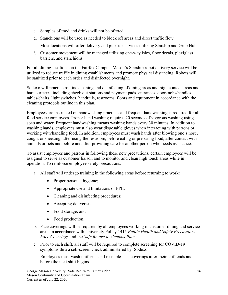- c. Samples of food and drinks will not be offered.
- d. Stanchions will be used as needed to block off areas and direct traffic flow.
- e. Most locations will offer delivery and pick-up services utilizing Starship and Grub Hub.
- f. Customer movement will be managed utilizing one-way isles, floor decals, plexiglass barriers, and stanchions.

For all dining locations on the Fairfax Campus, Mason's Starship robot delivery service will be utilized to reduce traffic in dining establishments and promote physical distancing. Robots will be sanitized prior to each order and disinfected overnight.

Sodexo will practice routine cleaning and disinfecting of dining areas and high contact areas and hard surfaces, including check out stations and payment pads, entrances, doorknobs/handles, tables/chairs, light switches, handrails, restrooms, floors and equipment in accordance with the cleaning protocols outline in this plan.

Employees are instructed on handwashing practices and frequent handwashing is required for all food service employees. Proper hand washing requires 20 seconds of vigorous washing using soap and water. Frequent handwashing means washing hands every 30 minutes. In addition to washing hands, employees must also wear disposable gloves when interacting with patrons or working with/handling food. In addition, employees must wash hands after blowing one's nose, cough, or sneezing, after using the restroom, before eating or preparing food, after contact with animals or pets and before and after providing care for another person who needs assistance.

To assist employees and patrons in following these new precautions, certain employees will be assigned to serve as customer liaison and to monitor and clean high touch areas while in operation. To reinforce employee safety precautions:

- a. All staff will undergo training in the following areas before returning to work:
	- Proper personal hygiene;
	- Appropriate use and limitations of PPE;
	- Cleaning and disinfecting procedures;
	- Accepting deliveries;
	- Food storage; and
	- Food production.
- b. Face coverings will be required by all employees working in customer dining and service areas in accordance with University Policy 1415 *Public Health and Safety Precautions – Face Coverings* and the *Safe Return to Campus Plan.*
- c. Prior to each shift, all staff will be required to complete screening for COVID-19 symptoms thru a self-screen check administered by Sodexo.
- d. Employees must wash uniforms and reusable face coverings after their shift ends and before the next shift begins.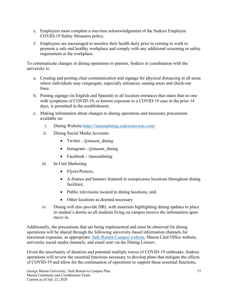- e. Employees must complete a one-time acknowledgement of the Sodexo Employee COVID-19 Safety Measures policy.
- f. Employees are encouraged to monitor their health daily prior to coming to work to promote a safe and healthy workplace and comply with any additional screening or safety requirement at the workplace.

To communicate changes in dining operations to patrons, Sodexo in coordination with the university is:

- a. Creating and posting clear communication and signage for physical distancing in all areas where individuals may congregate, especially entrances, seating areas and check-out lines.
- b. Posting signage (in English and Spanish) in all location entrances that states that no one with symptoms of COVID-19, or known exposure to a COVID-19 case in the prior 14 days, is permitted in the establishment.
- c. Making information about changes to dining operations and necessary precautions available on:
	- i. Dining Website<https://masondining.sodexomyway.com/>
	- ii. Dining Social Media Accounts
		- Twitter  $@$  mason dining
		- Instagram  $\omega$  mason dining
		- Facebook /masondining
	- iii. In-Unit Marketing
		- Flyers/Posters;
		- A-frames and banners featured in conspicuous locations throughout dining facilities;
		- Public televisions located in dining locations; and,
		- Other locations as deemed necessary
	- iv. Dining will also provide HRL with materials highlighting dining updates to place in student's dorms so all students living on campus receive the information upon move in.

Additionally, the precautions that are being implemented and must be observed for dining operations will be shared through the following university-based information channels for maximum exposure, as appropriate: [Safe-Return-Campus](https://www2.gmu.edu/Safe-Return-Campus) website, Mason Card Office website, university social media channels, and email sent via the Dining Listserv.

Given the uncertainty of duration and potential multiple waves of COVID-19 outbreaks, Sodexo operations will review the essential functions necessary to develop plans that mitigate the effects of COVID-19 and allow for the continuation of operations to support those essential functions**.**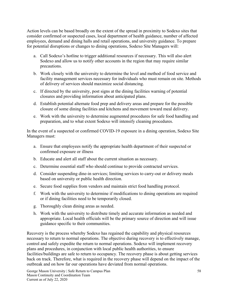Action levels can be based broadly on the extent of the spread in proximity to Sodexo sites that consider confirmed or suspected cases, local department of health guidance, number of affected employees, demand and dining halls and retail operations, and university guidance. To prepare for potential disruptions or changes to dining operations, Sodexo Site Managers will:

- a. Call Sodexo's hotline to trigger additional resources if necessary. This will also alert Sodexo and allow us to notify other accounts in the region that may require similar precautions.
- b. Work closely with the university to determine the level and method of food service and facility management services necessary for individuals who must remain on site. Methods of delivery of services should maximize social distancing.
- c. If directed by the university, post signs at the dining facilities warning of potential closures and providing information about anticipated plans.
- d. Establish potential alternate food prep and delivery areas and prepare for the possible closure of some dining facilities and kitchens and movement toward meal delivery.
- e. Work with the university to determine augmented procedures for safe food handling and preparation, and to what extent Sodexo will intensify cleaning procedures.

In the event of a suspected or confirmed COVID-19 exposure in a dining operation, Sodexo Site Managers must:

- a. Ensure that employees notify the appropriate health department of their suspected or confirmed exposure or illness
- b. Educate and alert all staff about the current situation as necessary.
- c. Determine essential staff who should continue to provide contracted services.
- d. Consider suspending dine-in services; limiting services to carry-out or delivery meals based on university or public health direction.
- e. Secure food supplies from vendors and maintain strict food handling protocol.
- f. Work with the university to determine if modifications to dining operations are required or if dining facilities need to be temporarily closed.
- g. Thoroughly clean dining areas as needed.
- h. Work with the university to distribute timely and accurate information as needed and appropriate. Local health officials will be the primary source of direction and will issue guidance specific to their communities.

Recovery is the process whereby Sodexo has regained the capability and physical resources necessary to return to normal operations. The objective during recovery is to effectively manage, control and safely expedite the return to normal operations. Sodexo will implement recovery plans and procedures, in conjunction with local public health authorities, to ensure facilities/buildings are safe to return to occupancy. The recovery phase is about getting services back on track. Therefore, what is required in the recovery phase will depend on the impact of the outbreak and on how far our operations have deviated from normal operations.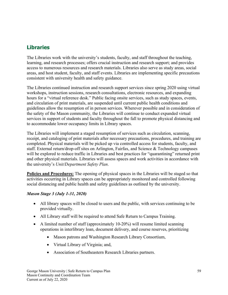# <span id="page-63-0"></span>**Libraries**

The Libraries work with the university's students, faculty, and staff throughout the teaching, learning, and research processes; offers crucial instruction and research support; and provides access to numerous resources and research materials. Libraries also serve as study areas, social areas, and host student, faculty, and staff events. Libraries are implementing specific precautions consistent with university health and safety guidance.

The Libraries continued instruction and research support services since spring 2020 using virtual workshops, instruction sessions, research consultations, electronic resources, and expanding hours for a "virtual reference desk." Public facing onsite services, such as study spaces, events, and circulation of print materials, are suspended until current public health conditions and guidelines allow the resumption of in person services. Wherever possible and in consideration of the safety of the Mason community, the Libraries will continue to conduct expanded virtual services in support of students and faculty throughout the fall to promote physical distancing and to accommodate lower occupancy limits in Library spaces.

The Libraries will implement a staged resumption of services such as circulation, scanning, receipt, and cataloging of print materials after necessary precautions, procedures, and training are completed. Physical materials will be picked up via controlled access for students, faculty, and staff. External return/drop-off sites on Arlington, Fairfax, and Science & Technology campuses will be explored to reduce traffic in Libraries and best practices for "quarantining" returned print and other physical materials. Libraries will assess spaces and work activities in accordance with the university's *Unit/Department Safety Plan*.

**Policies and Procedures:** The opening of physical spaces in the Libraries will be staged so that activities occurring in Library spaces can be appropriately monitored and controlled following social distancing and public health and safety guidelines as outlined by the university.

# *Mason Stage 3 (July 1-31, 2020)*

- All library spaces will be closed to users and the public, with services continuing to be provided virtually.
- All Library staff will be required to attend Safe Return to Campus Training.
- A limited number of staff (approximately 10-20%) will resume limited scanning operations in interlibrary loan, document delivery, and course reserves, prioritizing
	- Mason patrons and Washington Research Library Consortium,
	- Virtual Library of Virginia; and,
	- Association of Southeastern Research Libraries partners.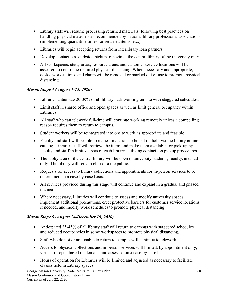- Library staff will resume processing returned materials, following best practices on handling physical materials as recommended by national library professional associations (implementing quarantine times for returned items, etc.).
- Libraries will begin accepting returns from interlibrary loan partners.
- Develop contactless, curbside pickup to begin at the central library of the university only.
- All workspaces, study areas, resource areas, and customer service locations will be assessed to determine required physical distancing. Where necessary and appropriate, desks, workstations, and chairs will be removed or marked out of use to promote physical distancing.

# *Mason Stage 4 (August 1-23, 2020)*

- Libraries anticipate 20-30% of all library staff working on-site with staggered schedules.
- Limit staff in shared office and open spaces as well as limit general occupancy within Libraries.
- All staff who can telework full-time will continue working remotely unless a compelling reason requires them to return to campus.
- Student workers will be reintegrated into onsite work as appropriate and feasible.
- Faculty and staff will be able to request materials to be put on hold via the library online catalog. Libraries staff will retrieve the items and make them available for pick-up by faculty and staff in limited areas of each library, utilizing contactless pickup procedures.
- The lobby area of the central library will be open to university students, faculty, and staff only. The library will remain closed to the public.
- Requests for access to library collections and appointments for in-person services to be determined on a case-by-case basis.
- All services provided during this stage will continue and expand in a gradual and phased manner.
- Where necessary, Libraries will continue to assess and modify university spaces, implement additional precautions, erect protective barriers for customer service locations if needed, and modify work schedules to promote physical distancing.

# *Mason Stage 5 (August 24-December 19, 2020)*

- Anticipated 25-45% of all library staff will return to campus with staggered schedules and reduced occupancies in some workspaces to promote physical distancing.
- Staff who do not or are unable to return to campus will continue to telework.
- Access to physical collections and in-person services will limited, by appointment only, virtual, or open based on demand and assessed on a case-by-case basis.
- Hours of operation for Libraries will be limited and adjusted as necessary to facilitate classes held in Library spaces.

George Mason University | Safe Return to Campus Plan Mason Continuity and Coordination Team Current as of July 22, 2020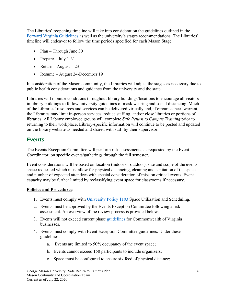The Libraries' reopening timeline will take into consideration the guidelines outlined in the [Forward Virginia Guidelines](https://www.virginia.gov/coronavirus/forwardvirginia/) as well as the university's stages recommendations. The Libraries' timeline will endeavor to follow the time periods specified for each Mason Stage:

- Plan Through June 30
- Prepare July 1-31
- Return August 1-23
- Resume August 24-December 19

In consideration of the Mason community, the Libraries will adjust the stages as necessary due to public health considerations and guidance from the university and the state.

Libraries will monitor conditions throughout library buildings/locations to encourage all visitors in library buildings to follow university guidelines of mask wearing and social distancing. Much of the Libraries' resources and services can be delivered virtually and, if circumstances warrant, the Libraries may limit in-person services, reduce staffing, and/or close libraries or portions of libraries. All Library employee groups will complete *Safe Return to Campus Training* prior to returning to their workplace. Library-specific information will continue to be posted and updated on the library website as needed and shared with staff by their supervisor.

# <span id="page-65-0"></span>**Events**

The Events Exception Committee will perform risk assessments, as requested by the Event Coordinator, on specific events/gatherings through the fall semester.

Event considerations will be based on location (indoor or outdoor), size and scope of the events, space requested which must allow for physical distancing, cleaning and sanitation of the space and number of expected attendees with special consideration of mission critical events. Event capacity may be further limited by reclassifying event space for classrooms if necessary.

#### **Policies and Procedures:**

- 1. Events must comply with [University Policy](https://universitypolicy.gmu.edu/policies/space-utilization-and-scheduling/) 1103 Space Utilization and Scheduling.
- 2. Events must be approved by the Events Exception Committee following a risk assessment. An overview of the review process is provided below.
- 3. Events will not exceed current phase [guidelines](https://www.virginia.gov/coronavirus/) for Commonwealth of Virginia businesses.
- 4. Events must comply with Event Exception Committee guidelines. Under these guidelines:
	- a. Events are limited to 50% occupancy of the event space;
	- b. Events cannot exceed 150 participants to include organizers;
	- c. Space must be configured to ensure six feed of physical distance;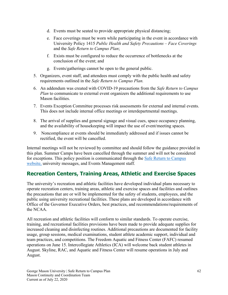- d. Events must be seated to provide appropriate physical distancing;
- e. Face coverings must be worn while participating in the event in accordance with University Policy 1415 *Public Health and Safety Precautions – Face Coverings* and the *Safe Return to Campus Plan*;
- f. Exists must be configured to reduce the occurrence of bottlenecks at the conclusion of the event; and
- g. Events/gatherings cannot be open to the general public.
- 5. Organizers, event staff, and attendees must comply with the public health and safety requirements outlined in the *Safe Return to Campus Plan.*
- 6. An addendum was created with COVID-19 precautions from the *Safe Return to Campus Plan* to communicate to external event organizers the additional requirements to use Mason facilities.
- 7. Events Exception Committee processes risk assessments for external and internal events. This does not include internal office meetings or interdepartmental meetings.
- 8. The arrival of supplies and general signage and visual cues, space occupancy planning, and the availability of housekeeping will impact the use of event/meeting spaces.
- 9. Noncompliance at events should be immediately addressed and if issues cannot be rectified, the event will be cancelled.

Internal meetings will not be reviewed by committee and should follow the guidance provided in this plan. Summer Camps have been cancelled through the summer and will not be considered for exceptions. This policy position is communicated through the [Safe Return to Campus](https://www2.gmu.edu/Safe-Return-Campus)  [website,](https://www2.gmu.edu/Safe-Return-Campus) university messages, and Events Management staff.

# **Recreation Centers, Training Areas, Athletic and Exercise Spaces**

The university's recreation and athletic facilities have developed individual plans necessary to operate recreation centers, training areas, athletic and exercise spaces and facilities and outlines the precautions that are or will be implemented for the safety of students, employees, and the public using university recreational facilities. These plans are developed in accordance with Office of the Governor Executive Orders, best practices, and recommendations/requirements of the NCAA.

All recreation and athletic facilities will conform to similar standards. To operate exercise, training, and recreational facilities provisions have been made to provide adequate supplies for increased cleaning and disinfecting routines. Additional precautions are documented for facility usage, group sessions, medical examinations, student athlete academic support, individual and team practices, and competitions. The Freedom Aquatic and Fitness Center (FAFC) resumed operations on June 15. Intercollegiate Athletics (ICA) will welcome back student athletes in August. Skyline, RAC, and Aquatic and Fitness Center will resume operations in July and August.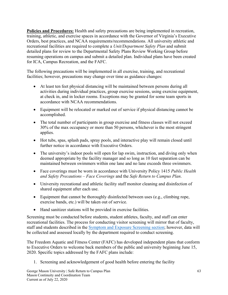**Policies and Procedures:** Health and safety precautions are being implemented in recreation, training, athletic, and exercise spaces in accordance with the Governor of Virginia's Executive Orders, best practices, and NCAA requirements/recommendations. All university athletic and recreational facilities are required to complete a *Unit/Department Safety Plan* and submit detailed plans for review to the Departmental Safety Plans Review Working Group before resuming operations on campus and submit a detailed plan. Individual plans have been created for ICA, Campus Recreation, and the FAFC.

The following precautions will be implemented in all exercise, training, and recreational facilities; however, precautions may change over time as guidance changes:

- At least ten feet physical distancing will be maintained between persons during all activities during individual practices, group exercise sessions, using exercise equipment, at check in, and in locker rooms. Exceptions may be granted for some team sports in accordance with NCAA recommendations.
- Equipment will be relocated or marked out of service if physical distancing cannot be accomplished.
- The total number of participants in group exercise and fitness classes will not exceed 30% of the max occupancy or more than 50 persons, whichever is the most stringent applies.
- Hot tubs, spas, splash pads, spray pools, and interactive play will remain closed until further notice in accordance with Executive Orders.
- The university's indoor pools will open for lap swim, instruction, and diving only when deemed appropriate by the facility manager and so long as 10 feet separation can be maintained between swimmers within one lane and no lane exceeds three swimmers.
- Face coverings must be worn in accordance with University Policy 1415 *Public Health and Safety Precautions – Face Coverings* and the *Safe Return to Campus Plan*.
- University recreational and athletic facility staff monitor cleaning and disinfection of shared equipment after each use.
- Equipment that cannot be thoroughly disinfected between uses (e.g., climbing rope, exercise bands, etc.) will be taken out of service.
- Hand sanitizer stations will be provided in exercise facilities.

Screening must be conducted before students, student athletes, faculty, and staff can enter recreational facilities. The process for conducting visitor screening will mirror that of faculty, staff and students described in the Symptom and Exposure [Screening section;](#page-24-0) however, data will be collected and assessed locally by the department required to conduct screening.

The Freedom Aquatic and Fitness Center (FAFC) has developed independent plans that conform to Executive Orders to welcome back members of the public and university beginning June 15, 2020. Specific topics addressed by the FAFC plans include:

1. Screening and acknowledgement of good health before entering the facility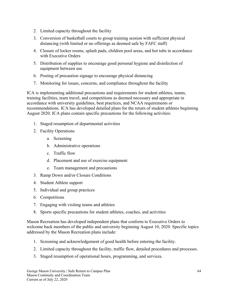- 2. Limited capacity throughout the facility
- 3. Conversion of basketball courts to group training session with sufficient physical distancing (with limited or no offerings as deemed safe by FAFC staff)
- 4. Closure of locker rooms, splash pads, children pool areas, and hot tubs in accordance with Executive Orders
- 5. Distribution of supplies to encourage good personal hygiene and disinfection of equipment between use
- 6. Posting of precaution signage to encourage physical distancing
- 7. Monitoring for issues, concerns, and compliance throughout the facility

ICA is implementing additional precautions and requirements for student athletes, teams, training facilities, team travel, and competitions as deemed necessary and appropriate in accordance with university guidelines, best practices, and NCAA requirements or recommendations. ICA has developed detailed plans for the return of student athletes beginning August 2020. ICA plans contain specific precautions for the following activities:

- 1. Staged resumption of departmental activities
- 2. Facility Operations
	- a. Screening
	- b. Administrative operations
	- c. Traffic flow
	- d. Placement and use of exercise equipment
	- e. Team management and precautions
- 3. Ramp Down and/or Closure Conditions
- 4. Student Athlete support
- 5. Individual and group practices
- 6. Competitions
- 7. Engaging with visiting teams and athletes
- 8. Sports specific precautions for student athletes, coaches, and activities

Mason Recreation has developed independent plans that conform to Executive Orders to welcome back members of the public and university beginning August 10, 2020. Specific topics addressed by the Mason Recreation plans include:

- 1. Screening and acknowledgement of good health before entering the facility.
- 2. Limited capacity throughout the facility, traffic flow, detailed procedures and processes.
- 3. Staged resumption of operational hours, programming, and services.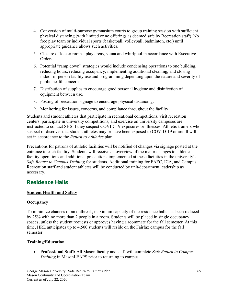- 4. Conversion of multi-purpose gymnasium courts to group training session with sufficient physical distancing (with limited or no offerings as deemed safe by Recreation staff). No free play team or individual sports (basketball, volleyball, badminton, etc.) until appropriate guidance allows such activities.
- 5. Closure of locker rooms, play areas, sauna and whirlpool in accordance with Executive Orders.
- 6. Potential "ramp down" strategies would include condensing operations to one building, reducing hours, reducing occupancy, implementing additional cleaning, and closing indoor in-person facility use and programming depending upon the nature and severity of public health concerns.
- 7. Distribution of supplies to encourage good personal hygiene and disinfection of equipment between use.
- 8. Posting of precaution signage to encourage physical distancing.
- 9. Monitoring for issues, concerns, and compliance throughout the facility.

Students and student athletes that participate in recreational competitions, visit recreation centers, participate in university competitions, and exercise on university campuses are instructed to contact SHS if they suspect COVID-19 exposures or illnesses. Athletic trainers who suspect or discover that student athletes may or have been exposed to COVID-19 or are ill will act in accordance to the *Return to Athletics* plan.

Precautions for patrons of athletic facilities will be notified of changes via signage posted at the entrance to each facility. Students will receive an overview of the major changes to athletic facility operations and additional precautions implemented at these facilities in the university's *Safe Return to Campus Training* for students. Additional training for FAFC, ICA, and Campus Recreation staff and student athletes will be conducted by unit/department leadership as necessary.

# **Residence Halls**

# **Student Health and Safety**

# **Occupancy**

To minimize chances of an outbreak, maximum capacity of the residence halls has been reduced by 25% with no more than 2 people in a room. Students will be placed in single occupancy spaces, unless the student requests or approves having a roommate for the fall semester. At this time, HRL anticipates up to 4,500 students will reside on the Fairfax campus for the fall semester.

# **Training/Education**

• **Professional Staff:** All Mason faculty and staff will complete *Safe Return to Campus Training* in MasonLEAPS prior to returning to campus.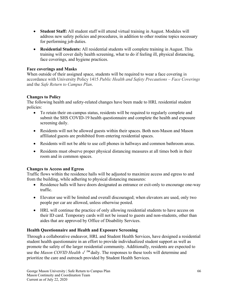- **Student Staff:** All student staff will attend virtual training in August. Modules will address new safety policies and procedures, in addition to other routine topics necessary for performing job duties.
- **Residential Students:** All residential students will complete training in August. This training will cover daily health screening, what to do if feeling ill, physical distancing, face coverings, and hygiene practices.

#### **Face coverings and Masks**

When outside of their assigned space, students will be required to wear a face covering in accordance with University Policy 1415 *Public Health and Safety Precautions – Face Coverings* and the *Safe Return to Campus Plan*.

# **Changes to Policy**

The following health and safety-related changes have been made to HRL residential student policies:

- To retain their on-campus status, residents will be required to regularly complete and submit the SHS COVID-19 health questionnaire and complete the health and exposure screening daily.
- Residents will not be allowed guests within their spaces. Both non-Mason and Mason affiliated guests are prohibited from entering residential spaces.
- Residents will not be able to use cell phones in hallways and common bathroom areas.
- Residents must observe proper physical distancing measures at all times both in their room and in common spaces.

#### **Changes to Access and Egress**

Traffic flows within the residence halls will be adjusted to maximize access and egress to and from the building, while adhering to physical distancing measures:

- Residence halls will have doors designated as entrance or exit-only to encourage one-way traffic.
- Elevator use will be limited and overall discouraged; when elevators are used, only two people per car are allowed, unless otherwise posted.
- HRL will continue the practice of only allowing residential students to have access on their ID card. Temporary cards will not be issued to guests and non-students, other than aides that are approved by Office of Disability Services.

#### **Health Questionnaire and Health and Exposure Screening**

Through a collaborative endeavor, HRL and Student Health Services, have designed a residential student health questionnaire in an effort to provide individualized student support as well as promote the safety of the larger residential community. Additionally, residents are expected to use the *Mason COVID Health* √ <sup>™</sup> daily. The responses to these tools will determine and prioritize the care and outreach provided by Student Health Services.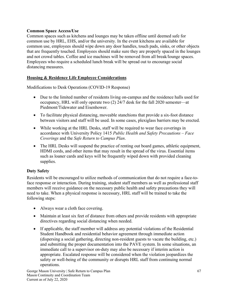# **Common Space Access/Use**

Common spaces such as kitchens and lounges may be taken offline until deemed safe for common use by HRL, EHS, and/or the university. In the event kitchens are available for common use, employees should wipe down any door handles, touch pads, sinks, or other objects that are frequently touched. Employees should make sure they are properly spaced in the lounges and not crowd tables. Coffee and ice machines will be removed from all break/lounge spaces. Employees who require a scheduled lunch break will be spread out to encourage social distancing measures.

# **Housing & Residence Life Employee Considerations**

Modifications to Desk Operations (COVID-19 Response)

- Due to the limited number of residents living on-campus and the residence halls used for occupancy, HRL will only operate two (2) 24/7 desk for the fall 2020 semester—at Piedmont/Tidewater and Eisenhower.
- To facilitate physical distancing, moveable stanchions that provide a six-foot distance between visitors and staff will be used. In some cases, plexiglass barriers may be erected.
- While working at the HRL Desks, staff will be required to wear face coverings in accordance with University Policy 1415 *Public Health and Safety Precautions – Face Coverings* and the *Safe Return to Campus Plan*.
- The HRL Desks will suspend the practice of renting out board games, athletic equipment, HDMI cords, and other items that may result in the spread of the virus. Essential items such as loaner cards and keys will be frequently wiped down with provided cleaning supplies.

# **Duty Safety**

Residents will be encouraged to utilize methods of communication that do not require a face-toface response or interaction. During training, student staff members as well as professional staff members will receive guidance on the necessary public health and safety precautions they will need to take. When a physical response is necessary, HRL staff will be trained to take the following steps:

- Always wear a cloth face covering.
- Maintain at least six feet of distance from others and provide residents with appropriate directives regarding social distancing when needed.
- If applicable, the staff member will address any potential violations of the Residential Student Handbook and residential behavior agreement through immediate action (dispersing a social gathering, directing non-resident guests to vacate the building, etc.) and submitting the proper documentation into the PAVE system. In some situations, an immediate call to a supervisor on-duty may also be necessary if interim action is appropriate. Escalated response will be considered when the violation jeopardizes the safety or well-being of the community or disrupts HRL staff from continuing normal operations.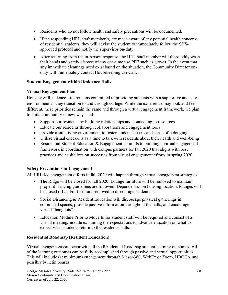- Residents who do not follow health and safety precautions will be documented.
- If the responding HRL staff member(s) are made aware of any potential health concerns of residential students, they will advise the student to immediately follow the SHSapproved protocol and notify the supervisor on-duty.
- After returning from the in-person response, the HRL staff member will thoroughly wash their hands and safely dispose of any one-time use PPE such as gloves. In the event that any immediate cleanings need exist based on the situation, the Community Director onduty will immediately contact Housekeeping On-Call.

# **Student Engagement within Residence Halls**

# **Virtual Engagement Plan**

Housing & Residence Life remains committed to providing students with a supportive and safe environment as they transition to and through college. While the experience may look and feel different, these priorities remain the same and through a virtual engagement framework, we plan to build community in new ways and:

- Support our residents by building relationships and connecting to resources
- Educate our residents through collaborations and engagement tools
- Provide a safe living environment to foster student success and sense of belonging
- Utilize virtual check-ins as a time to talk with residents about their health and well-being
- Residential Student Education & Engagement commits to building a virtual engagement framework in coordination with campus partners for fall 2020 that aligns with best practices and capitalizes on successes from virtual engagement efforts in spring 2020.

# **Safety Precautions in Engagement**

All HRL-led engagement efforts in fall 2020 will happen through virtual engagement strategies.

- The Ridge will be closed for fall 2020. Lounge furniture will be removed to maintain proper distancing guidelines are followed. Dependent upon housing location, lounges will be closed off and/or furniture removed to discourage student use.
- Social Distancing & Resident Education will discourage physical gatherings in communal spaces, provide passive information throughout the halls, and encourage virtual "hangouts".
- Education Module Prior to Move In for student staff will be required and consist of a virtual meeting/module explaining the expectations to advance education on what to expect when students return to the residence halls.

# **Residential Roadmap (Resident Education)**

Virtual engagement can occur with all the Residential Roadmap student learning outcomes. All of the learning outcomes can be fully accomplished through passive and virtual opportunities. This will include (at minimum) engagement through Mason360, WebEx or Zoom, HBOGo, and possibly bulletin boards.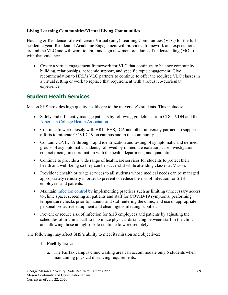# **Living Learning Communities/Virtual Living Communities**

Housing & Residence Life will create Virtual (only) Learning Communities (VLC) for the full academic year. Residential Academic Engagement will provide a framework and expectations around the VLC and will work to draft and sign new memorandums of understanding (MOU) with that guidance.

• Create a virtual engagement framework for VLC that continues to balance community building, relationships, academic support, and specific topic engagement. Give recommendation to HRL's VLC partners to continue to offer the required VLC classes in a virtual setting or work to replace that requirement with a robust co-curricular experience.

# **Student Health Services**

Mason SHS provides high quality healthcare to the university's students. This includes:

- Safely and efficiently manage patients by following guidelines from CDC, VDH and the [American College Health Association.](https://www.acha.org/documents/resources/guidelines/ACHA_Considerations_for_Reopening_IHEs_in_the_COVID-19_Era_May2020.pdf)
- Continue to work closely with HRL, EHS, ICA and other university partners to support efforts to mitigate COVID-19 on campus and in the community.
- Contain COVID-19 through rapid identification and testing of symptomatic and defined groups of asymptomatic students, followed by immediate isolation, case investigation, contact tracing in coordination with the health department, and quarantine.
- Continue to provide a wide range of healthcare services for students to protect their health and well-being so they can be successful while attending classes at Mason.
- Provide telehealth or triage services to all students whose medical needs can be managed appropriately remotely in order to prevent or reduce the risk of infection for SHS employees and patients.
- Maintain [infection control](https://www.cdc.gov/coronavirus/2019-ncov/hcp/infection-control-recommendations.html) by implementing practices such as limiting unnecessary access to clinic space, screening all patients and staff for COVID-19 symptoms, performing temperature checks prior to patients and staff entering the clinic, and use of appropriate personal protective equipment and cleaning/disinfecting supplies.
- Prevent or reduce risk of infection for SHS employees and patients by adjusting the schedules of in-clinic staff to maximize physical distancing between staff in the clinic and allowing those at high-risk to continue to work remotely.

The following may affect SHS's ability to meet its mission and objectives:

# 1. **Facility issues**

a. The Fairfax campus clinic waiting area can accommodate only 5 students when maintaining physical distancing requirements.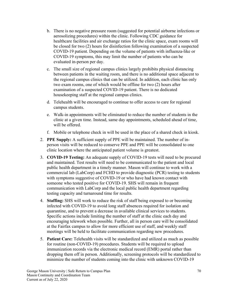- b. There is no negative pressure room (suggested for potential airborne infections or aerosolizing procedures) within the clinic. Following CDC guidance for healthcare facilities and air exchange ratios for the clinic space, exam rooms will be closed for two (2) hours for disinfection following examination of a suspected COVID-19 patient. Depending on the volume of patients with influenza-like or COVID-19 symptoms, this may limit the number of patients who can be evaluated in-person per day.
- c. The small size of regional campus clinics largely prohibits physical distancing between patients in the waiting room, and there is no additional space adjacent to the regional campus clinics that can be utilized. In addition, each clinic has only two exam rooms, one of which would be offline for two (2) hours after examination of a suspected COVID-19 patient. There is no dedicated housekeeping staff at the regional campus clinics.
- d. Telehealth will be encouraged to continue to offer access to care for regional campus students.
- e. Walk-in appointments will be eliminated to reduce the number of students in the clinic at a given time. Instead, same day appointments, scheduled ahead of time, will be offered.
- f. Mobile or telephone check in will be used in the place of a shared check in kiosk.
- 2. **PPE Supply:** A sufficient supply of PPE will be maintained. The number of inperson visits will be reduced to conserve PPE and PPE will be consolidated to one clinic location where the anticipated patient volume is greatest.
- 3. **COVID-19 Testing:** An adequate supply of COVID-19 tests will need to be procured and maintained. Test results will need to be communicated to the patient and local public health department in a timely manner. Mason will continue to work with a commercial lab (LabCorp) and FCHD to provide diagnostic (PCR) testing to students with symptoms suggestive of COVID-19 or who have had known contact with someone who tested positive for COVID-19. SHS will remain in frequent communication with LabCorp and the local public health department regarding testing capacity and turnaround time for results.
- 4. **Staffing:** SHS will work to reduce the risk of staff being exposed to or becoming infected with COVID-19 to avoid long staff absences required for isolation and quarantine, and to prevent a decrease in available clinical services to students. Specific actions include limiting the number of staff at the clinic each day and encouraging telework when possible. Further, all in person care will be consolidated at the Fairfax campus to allow for more efficient use of staff, and weekly staff meetings will be held to facilitate communication regarding new procedures.
- 5. **Patient Care:** Telehealth visits will be standardized and utilized as much as possible for routine (non-COVID-19) procedures. Students will be required to upload immunization records via the electronic medical record (EMR) portal rather than dropping them off in person. Additionally, screening protocols will be standardized to minimize the number of students coming into the clinic with unknown COVID-19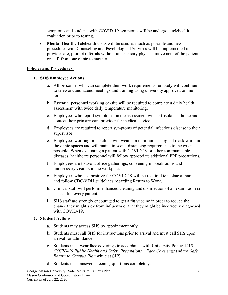symptoms and students with COVID-19 symptoms will be undergo a telehealth evaluation prior to testing.

6. **Mental Health:** Telehealth visits will be used as much as possible and new procedures with Counseling and Psychological Services will be implemented to provide safe, prompt referrals without unnecessary physical movement of the patient or staff from one clinic to another.

#### **Policies and Procedures:**

#### **1. SHS Employee Actions**

- a. All personnel who can complete their work requirements remotely will continue to telework and attend meetings and training using university approved online tools.
- b. Essential personnel working on-site will be required to complete a daily health assessment with twice daily temperature monitoring.
- c. Employees who report symptoms on the assessment will self-isolate at home and contact their primary care provider for medical advice.
- d. Employees are required to report symptoms of potential infectious disease to their supervisor.
- e. Employees working in the clinic will wear at a minimum a surgical mask while in the clinic spaces and will maintain social distancing requirements to the extent possible. When evaluating a patient with COVID-19 or other communicable diseases, healthcare personnel will follow appropriate additional PPE precautions.
- f. Employees are to avoid office gatherings, convening in breakrooms and unnecessary visitors in the workplace.
- g. Employees who test positive for COVID-19 will be required to isolate at home and follow CDC/VDH guidelines regarding Return to Work.
- h. Clinical staff will perform enhanced cleaning and disinfection of an exam room or space after every patient.
- i. SHS staff are strongly encouraged to get a flu vaccine in order to reduce the chance they might sick from influenza or that they might be incorrectly diagnosed with COVID-19.

#### **2. Student Actions**

- a. Students may access SHS by appointment only.
- b. Students must call SHS for instructions prior to arrival and must call SHS upon arrival for admittance.
- c. Students must wear face coverings in accordance with University Policy 1415 *COVID-19 Public Health and Safety Precautions – Face Coverings* and the *Safe Return to Campus Plan* while at SHS.
- d. Students must answer screening questions completely.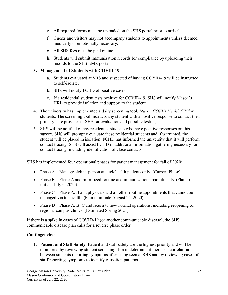- e. All required forms must be uploaded on the SHS portal prior to arrival.
- f. Guests and visitors may not accompany students to appointments unless deemed medically or emotionally necessary.
- g. All SHS fees must be paid online.
- h. Students will submit immunization records for compliance by uploading their records to the SHS EMR portal

# **3. Management of Students with COVID-19**

- a. Students evaluated at SHS and suspected of having COVID-19 will be instructed to self-isolate.
- b. SHS will notify FCHD of positive cases.
- c. If a residential student tests positive for COVID-19, SHS will notify Mason's HRL to provide isolation and support to the student.
- 4. The university has implemented a daily screening tool, *Mason COVID Health*✓*™* for students. The screening tool instructs any student with a positive response to contact their primary care provider or SHS for evaluation and possible testing.
- 5. SHS will be notified of any residential students who have positive responses on this survey. SHS will promptly evaluate these residential students and if warranted, the student will be placed in isolation. FCHD has informed the university that it will perform contact tracing. SHS will assist FCHD in additional information gathering necessary for contact tracing, including identification of close contacts.

SHS has implemented four operational phases for patient management for fall of 2020:

- Phase A Manage sick in-person and telehealth patients only. (Current Phase)
- Phase B Phase A and prioritized routine and immunization appointments. (Plan to initiate July 6, 2020).
- Phase  $C$  Phase A, B and physicals and all other routine appointments that cannot be managed via telehealth. (Plan to initiate August 24, 2020)
- Phase D Phase A, B, C and return to new normal operations, including reopening of regional campus clinics. (Estimated Spring 2021).

If there is a spike in cases of COVID-19 (or another communicable disease), the SHS communicable disease plan calls for a reverse phase order.

# **Contingencies**:

1. **Patient and Staff Safety**: Patient and staff safety are the highest priority and will be monitored by reviewing student screening data to determine if there is a correlation between students reporting symptoms after being seen at SHS and by reviewing cases of staff reporting symptoms to identify causation patterns.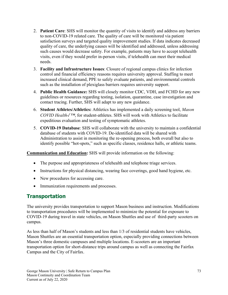- 2. **Patient Care**: SHS will monitor the quantity of visits to identify and address any barriers to non-COVID-19 related care. The quality of care will be monitored via patient satisfaction surveys and targeted quality improvement studies. If data indicates decreased quality of care, the underlying causes will be identified and addressed, unless addressing such causes would decrease safety. For example, patients may have to accept telehealth visits, even if they would prefer in-person visits, if telehealth can meet their medical needs.
- 3. **Facility and Infrastructure Issues**: Closure of regional campus clinics for infection control and financial efficiency reasons requires university approval. Staffing to meet increased clinical demand, PPE to safely evaluate patients, and environmental controls such as the installation of plexiglass barriers requires university support.
- 4. **Public Health Guidance:** SHS will closely monitor CDC, VDH, and FCHD for any new guidelines or resources regarding testing, isolation, quarantine, case investigation and contact tracing. Further, SHS will adapt to any new guidance.
- 6. **Student Athletes/Athletics:** Athletics has implemented a daily screening tool, *Mason COVID Health*✓*™*, for student-athletes. SHS will work with Athletics to facilitate expeditious evaluation and testing of symptomatic athletes.
- 5. **COVID-19 Database**: SHS will collaborate with the university to maintain a confidential database of students with COVID-19. De-identified data will be shared with Administration to assist in monitoring the re-opening process, both overall but also to identify possible "hot-spots," such as specific classes, residence halls, or athletic teams.

**Communication and Education:** SHS will provide information on the following:

- The purpose and appropriateness of telehealth and telephone triage services.
- Instructions for physical distancing, wearing face coverings, good hand hygiene, etc.
- New procedures for accessing care.
- Immunization requirements and processes.

# **Transportation**

The university provides transportation to support Mason business and instruction. Modifications to transportation procedures will be implemented to minimize the potential for exposure to COVID-19 during travel in state vehicles, on Mason Shuttles and use of third-party scooters on campus.

As less than half of Mason's students and less than 1/3 of residential students have vehicles, Mason Shuttles are an essential transportation option, especially providing connections between Mason's three domestic campuses and multiple locations. E-scooters are an important transportation option for short-distance trips around campus as well as connecting the Fairfax Campus and the City of Fairfax.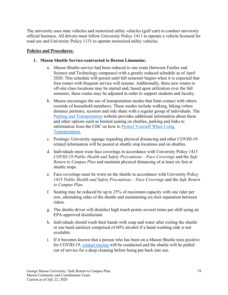The university uses state vehicles and motorized utility vehicles (golf cart) to conduct university official business. All drivers must follow University Policy 1411 to operate a vehicle licensed for road use and University Policy 1131 to operate motorized utility vehicles.

### **Policies and Procedures:**

### **1. Mason Shuttle Service-contracted to Reston Limousine.**

- a. Mason Shuttle service had been reduced to one route (between Fairfax and Science and Technology campuses) with a greatly reduced schedule as of April 2020. This schedule will persist until fall semester begins when it is expected that four routes with frequent service will resume. Additionally, three new routes to off-site class locations may be started and, based upon utilization over the fall semester, these routes may be adjusted in order to support students and faculty.
- b. Mason encourages the use of transportation modes that limit contact with others (outside of household members). These modes include walking, biking (when distance permits), scooters and ride share with a regular group of individuals. The [Parking and Transportation](https://transportation.gmu.edu/) website provides additional information about these and other options such as limited seating on shuttles, parking and links to information from the CDC on how to [Protect Yourself When Using](https://www.cdc.gov/coronavirus/2019-ncov/daily-life-coping/using-transportation.html)  [Transportation.](https://www.cdc.gov/coronavirus/2019-ncov/daily-life-coping/using-transportation.html)
- c. Postings: University signage regarding physical distancing and other COVID-19 related information will be posted at shuttle stop locations and on shuttles.
- d. Individuals must wear face coverings in accordance with University Policy 1415 *COVID-19 Public Health and Safety Precautions – Face Coverings* and the *Safe Return to Campus Plan* and maintain physical distancing of at least six feet at shuttle stops.
- e. Face coverings must be worn on the shuttle in accordance with University Policy 1415 *Public Health and Safety Precautions – Face Coverings* and the *Safe Return to Campus Plan*.
- f. Seating may be reduced by up to 25% of maximum capacity with one rider per row, alternating sides of the shuttle and maintaining six-foot separation between riders.
- g. The shuttle driver will disinfect high touch points several times per shift using an EPA-approved disinfectant.
- h. Individuals should wash their hands with soap and water after exiting the shuttle or use hand sanitizer comprised of 60% alcohol if a hand-washing sink is not available.
- i. If it becomes known that a person who has been on a Mason Shuttle tests positive for COVID-19, [contact tracing](#page-28-0) will be conducted and the shuttle will be pulled out of service for a deep cleaning before being put back into use.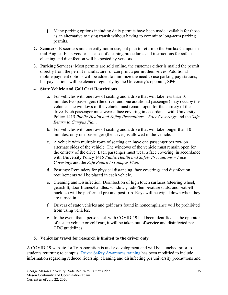- j. Many parking options including daily permits have been made available for those as an alternative to using transit without having to commit to long-term parking permits*.*
- **2. Scooters:** E-scooters are currently not in use, but plan to return to the Fairfax Campus in mid-August. Each vendor has a set of cleaning procedures and instructions for safe use, cleaning and disinfection will be posted by vendors.
- **3. Parking Services:** Most permits are sold online, the customer either is mailed the permit directly from the permit manufacturer or can print a permit themselves. Additional mobile payment options will be added to minimize the need to use parking pay stations, but pay stations will be cleaned regularly by the University's operator, SP+.

# **4. State Vehicle and Golf Cart Restrictions**

- a. For vehicles with one row of seating and a drive that will take less than 10 minutes two passengers (the driver and one additional passenger) may occupy the vehicle. The windows of the vehicle must remain open for the entirety of the drive. Each passenger must wear a face covering in accordance with University Policy 1415 *Public Health and Safety Precautions – Face Coverings* and the *Safe Return to Campus Plan*.
- b. For vehicles with one row of seating and a drive that will take longer than 10 minutes, only one passenger (the driver) is allowed in the vehicle.
- c. A vehicle with multiple rows of seating can have one passenger per row on alternate sides of the vehicle. The windows of the vehicle must remain open for the entirety of the drive. Each passenger must wear a face covering, in accordance with University Policy 1415 *Public Health and Safety Precautions – Face Coverings* and the *Safe Return to Campus Plan*.
- d. Postings: Reminders for physical distancing, face coverings and disinfection requirements will be placed in each vehicle.
- e. Cleaning and Disinfection: Disinfection of high touch surfaces (steering wheel, gearshift, door frames/handles, windows, radio/temperature dials, and seatbelt buckles) will be performed pre-and post-trip. Keys will be wiped down when they are turned in.
- f. Drivers of state vehicles and golf carts found in noncompliance will be prohibited from using vehicles.
- g. In the event that a person sick with COVID-19 had been identified as the operator of a state vehicle or golf cart, it will be taken out of service and disinfected per CDC guidelines.

# **5. Vehicular travel for research is limited to the driver only.**

A COVID-19 website for Transportation is under development and will be launched prior to students returning to campus. [Driver Safety Awareness training](https://risk.gmu.edu/training/driver-training/) has been modified to include information regarding reduced ridership, cleaning and disinfecting per university precautions and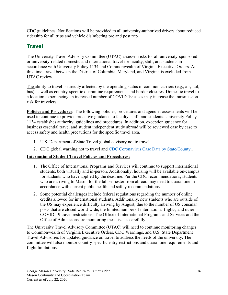CDC guidelines. Notifications will be provided to all university-authorized drivers about reduced ridership for all trips and vehicle disinfecting pre and post trip.

# **Travel**

The University Travel Advisory Committee (UTAC) assesses risks for all university-sponsored or university-related domestic and international travel for faculty, staff, and students in accordance with University Policy 1134 and Commonwealth of Virginia Executive Orders. At this time, travel between the District of Columbia, Maryland, and Virginia is excluded from UTAC review.

The ability to travel is directly affected by the operating status of common carriers (e.g., air, rail, bus) as well as country-specific quarantine requirements and border closures. Domestic travel to a location experiencing an increased number of COVID-19 cases may increase the transmission risk for travelers.

**Policies and Procedures:** The following policies, procedures and agencies assessments will be used to continue to provide proactive guidance to faculty, staff, and students. University Policy 1134 establishes authority, guidelines and procedures. In addition, exception guidance for business essential travel and student independent study abroad will be reviewed case by case to access safety and health precautions for the specific travel area.

- 1. U.S. Department of State Travel global advisory not to travel.
- 2. CDC global warning not to travel and [CDC Coronavirus Case Data by State/County.](https://www.cdc.gov/coronavirus/2019-ncov/cases-updates/county-map.html)..

# **International Student Travel Policies and Procedures:**

- 1. The Office of International Programs and Services will continue to support international students, both virtually and in-person. Additionally, housing will be available on-campus for students who have applied by the deadline. Per the CDC recommendations, students who are arriving to Mason for the fall semester from abroad may need to quarantine in accordance with current public health and safety recommendations.
- 2. Some potential challenges include federal regulations regarding the number of online credits allowed for international students. Additionally, new students who are outside of the US may experience difficulty arriving by August, due to the number of US consular posts that are closed world-wide, the limited number of international flights, and other COVID-19 travel restrictions. The Office of International Programs and Services and the Office of Admissions are monitoring these issues carefully.

The University Travel Advisory Committee (UTAC) will need to continue monitoring changes to Commonwealth of Virginia Executive Orders, CDC Warnings, and U.S. State Department Travel Advisories for updated guidance on travel to address the needs of the university. The committee will also monitor country-specific entry restrictions and quarantine requirements and flight limitations.